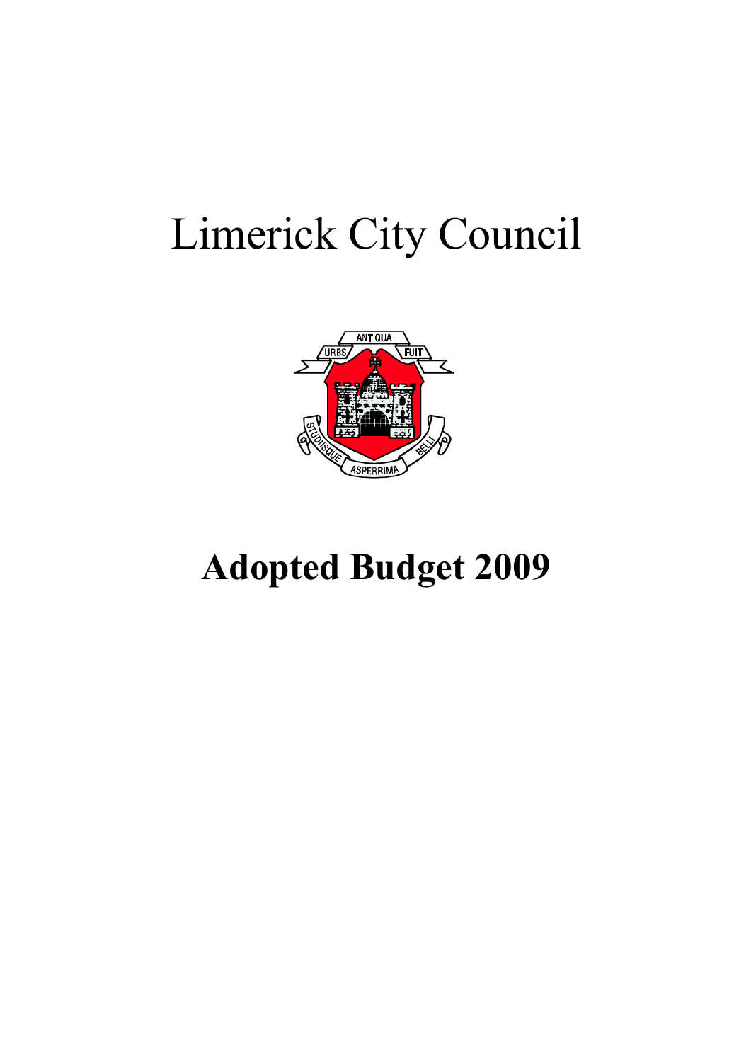## Limerick City Council



## **Adopted Budget 2009**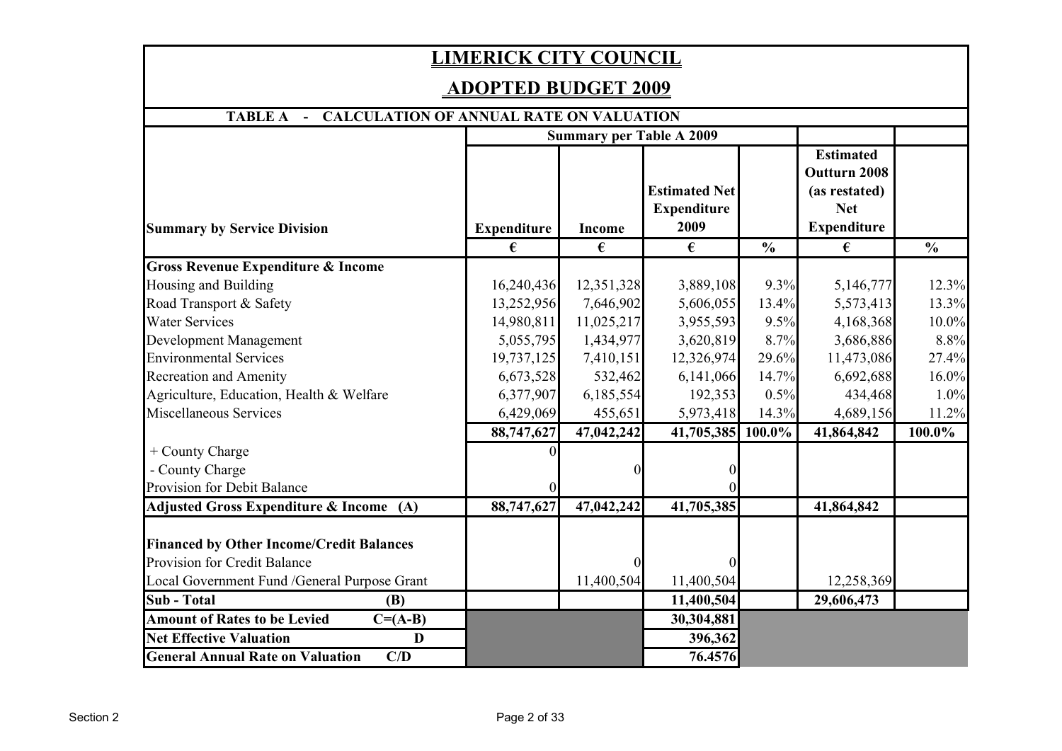## **LIMERICK CITY COUNCIL**

## **ADOPTED BUDGET 2009**

| - CALCULATION OF ANNUAL RATE ON VALUATION<br><b>TABLE A</b>                     |                    |                                 |                                                    |               |                                                                                              |               |
|---------------------------------------------------------------------------------|--------------------|---------------------------------|----------------------------------------------------|---------------|----------------------------------------------------------------------------------------------|---------------|
|                                                                                 |                    | <b>Summary per Table A 2009</b> |                                                    |               |                                                                                              |               |
| <b>Summary by Service Division</b>                                              | <b>Expenditure</b> | <b>Income</b>                   | <b>Estimated Net</b><br><b>Expenditure</b><br>2009 |               | <b>Estimated</b><br><b>Outturn 2008</b><br>(as restated)<br><b>Net</b><br><b>Expenditure</b> |               |
|                                                                                 | €                  | €                               | €                                                  | $\frac{0}{0}$ | €                                                                                            | $\frac{0}{0}$ |
| Gross Revenue Expenditure & Income                                              |                    |                                 |                                                    |               |                                                                                              |               |
| Housing and Building                                                            | 16,240,436         | 12,351,328                      | 3,889,108                                          | 9.3%          | 5,146,777                                                                                    | 12.3%         |
| Road Transport & Safety                                                         | 13,252,956         | 7,646,902                       | 5,606,055                                          | 13.4%         | 5,573,413                                                                                    | 13.3%         |
| <b>Water Services</b>                                                           | 14,980,811         | 11,025,217                      | 3,955,593                                          | 9.5%          | 4,168,368                                                                                    | 10.0%         |
| Development Management                                                          | 5,055,795          | 1,434,977                       | 3,620,819                                          | 8.7%          | 3,686,886                                                                                    | 8.8%          |
| <b>Environmental Services</b>                                                   | 19,737,125         | 7,410,151                       | 12,326,974                                         | 29.6%         | 11,473,086                                                                                   | 27.4%         |
| <b>Recreation and Amenity</b>                                                   | 6,673,528          | 532,462                         | 6,141,066                                          | 14.7%         | 6,692,688                                                                                    | 16.0%         |
| Agriculture, Education, Health & Welfare                                        | 6,377,907          | 6,185,554                       | 192,353                                            | 0.5%          | 434,468                                                                                      | 1.0%          |
| Miscellaneous Services                                                          | 6,429,069          | 455,651                         | 5,973,418                                          | 14.3%         | 4,689,156                                                                                    | 11.2%         |
|                                                                                 | 88,747,627         | 47,042,242                      | 41,705,385                                         | 100.0%        | 41,864,842                                                                                   | 100.0%        |
| + County Charge                                                                 |                    |                                 |                                                    |               |                                                                                              |               |
| - County Charge                                                                 |                    |                                 |                                                    |               |                                                                                              |               |
| Provision for Debit Balance                                                     |                    |                                 |                                                    |               |                                                                                              |               |
| Adjusted Gross Expenditure & Income (A)                                         | 88,747,627         | 47,042,242                      | 41,705,385                                         |               | 41,864,842                                                                                   |               |
| <b>Financed by Other Income/Credit Balances</b><br>Provision for Credit Balance |                    |                                 |                                                    |               |                                                                                              |               |
| Local Government Fund / General Purpose Grant                                   |                    | 11,400,504                      | 11,400,504                                         |               | 12,258,369                                                                                   |               |
| <b>Sub</b> - Total<br><b>(B)</b>                                                |                    |                                 | 11,400,504                                         |               | 29,606,473                                                                                   |               |
| <b>Amount of Rates to be Levied</b><br>$C = (A-B)$                              |                    |                                 | 30,304,881                                         |               |                                                                                              |               |
| <b>Net Effective Valuation</b><br>D                                             |                    |                                 | 396,362                                            |               |                                                                                              |               |
| <b>General Annual Rate on Valuation</b><br>C/D                                  |                    |                                 | 76.4576                                            |               |                                                                                              |               |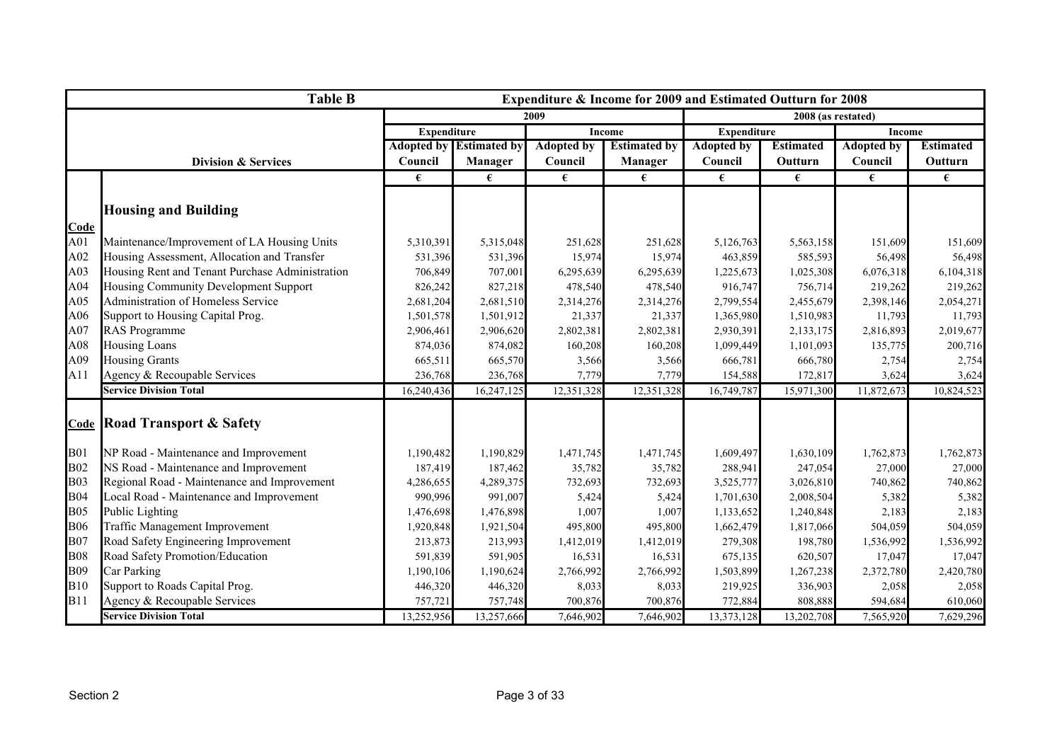|            | <b>Table B</b>                                  |                    |                                |                   | Expenditure & Income for 2009 and Estimated Outturn for 2008 |                    |                    |                   |                  |
|------------|-------------------------------------------------|--------------------|--------------------------------|-------------------|--------------------------------------------------------------|--------------------|--------------------|-------------------|------------------|
|            |                                                 |                    |                                | 2009              |                                                              |                    | 2008 (as restated) |                   |                  |
|            |                                                 | <b>Expenditure</b> |                                |                   | <b>Income</b>                                                | <b>Expenditure</b> |                    | Income            |                  |
|            |                                                 |                    | <b>Adopted by Estimated by</b> | <b>Adopted by</b> | <b>Estimated by</b>                                          | <b>Adopted by</b>  | <b>Estimated</b>   | <b>Adopted by</b> | <b>Estimated</b> |
|            | <b>Division &amp; Services</b>                  | Council            | Manager                        | Council           | Manager                                                      | Council            | <b>Outturn</b>     | Council           | Outturn          |
|            |                                                 | €                  | €                              | €                 | €                                                            | €                  | €                  | €                 | €                |
|            |                                                 |                    |                                |                   |                                                              |                    |                    |                   |                  |
|            | <b>Housing and Building</b>                     |                    |                                |                   |                                                              |                    |                    |                   |                  |
| Code       |                                                 |                    |                                |                   |                                                              |                    |                    |                   |                  |
| A01        | Maintenance/Improvement of LA Housing Units     | 5,310,391          | 5,315,048                      | 251,628           | 251,628                                                      | 5,126,763          | 5,563,158          | 151,609           | 151,609          |
| A02        | Housing Assessment, Allocation and Transfer     | 531,396            | 531,396                        | 15,974            | 15,974                                                       | 463,859            | 585,593            | 56,498            | 56,498           |
| A03        | Housing Rent and Tenant Purchase Administration | 706,849            | 707,001                        | 6,295,639         | 6,295,639                                                    | 1,225,673          | 1,025,308          | 6,076,318         | 6,104,318        |
| A04        | Housing Community Development Support           | 826,242            | 827,218                        | 478,540           | 478,540                                                      | 916,747            | 756,714            | 219,262           | 219,262          |
| A05        | Administration of Homeless Service              | 2,681,204          | 2,681,510                      | 2,314,276         | 2,314,276                                                    | 2,799,554          | 2,455,679          | 2,398,146         | 2,054,271        |
| A06        | Support to Housing Capital Prog.                | 1,501,578          | 1,501,912                      | 21,337            | 21,337                                                       | 1,365,980          | 1,510,983          | 11,793            | 11,793           |
| A07        | <b>RAS</b> Programme                            | 2,906,461          | 2,906,620                      | 2,802,381         | 2,802,381                                                    | 2,930,391          | 2,133,175          | 2,816,893         | 2,019,677        |
| A08        | <b>Housing Loans</b>                            | 874,036            | 874,082                        | 160,208           | 160,208                                                      | 1,099,449          | 1,101,093          | 135,775           | 200,716          |
| A09        | <b>Housing Grants</b>                           | 665,511            | 665,570                        | 3,566             | 3,566                                                        | 666,781            | 666,780            | 2,754             | 2,754            |
| A11        | Agency & Recoupable Services                    | 236,768            | 236,768                        | 7,779             | 7,779                                                        | 154,588            | 172,817            | 3,624             | 3,624            |
|            | <b>Service Division Total</b>                   | 16,240,436         | 16,247,125                     | 12,351,328        | 12,351,328                                                   | 16,749,787         | 15,971,300         | 11,872,673        | 10,824,523       |
|            | <b>Code Road Transport &amp; Safety</b>         |                    |                                |                   |                                                              |                    |                    |                   |                  |
| <b>B01</b> | NP Road - Maintenance and Improvement           | 1,190,482          | 1,190,829                      | 1,471,745         | 1,471,745                                                    | 1,609,497          | 1,630,109          | 1,762,873         | 1,762,873        |
| <b>B02</b> | NS Road - Maintenance and Improvement           | 187,419            | 187,462                        | 35,782            | 35,782                                                       | 288,941            | 247,054            | 27,000            | 27,000           |
| <b>B03</b> | Regional Road - Maintenance and Improvement     | 4,286,655          | 4,289,375                      | 732,693           | 732,693                                                      | 3,525,777          | 3,026,810          | 740,862           | 740,862          |
| <b>B04</b> | Local Road - Maintenance and Improvement        | 990,996            | 991,007                        | 5,424             | 5,424                                                        | 1,701,630          | 2,008,504          | 5,382             | 5,382            |
| <b>B05</b> | Public Lighting                                 | 1,476,698          | 1,476,898                      | 1,007             | 1,007                                                        | 1,133,652          | 1,240,848          | 2,183             | 2,183            |
| <b>B06</b> | Traffic Management Improvement                  | 1,920,848          | 1,921,504                      | 495,800           | 495,800                                                      | 1,662,479          | 1,817,066          | 504,059           | 504,059          |
| <b>B07</b> | Road Safety Engineering Improvement             | 213,873            | 213,993                        | 1,412,019         | 1,412,019                                                    | 279,308            | 198,780            | 1,536,992         | 1,536,992        |
| <b>B08</b> | Road Safety Promotion/Education                 | 591,839            | 591,905                        | 16,531            | 16,531                                                       | 675,135            | 620,507            | 17,047            | 17,047           |
| <b>B09</b> | Car Parking                                     | 1,190,106          | 1,190,624                      | 2,766,992         | 2,766,992                                                    | 1,503,899          | 1,267,238          | 2,372,780         | 2,420,780        |
| <b>B10</b> | Support to Roads Capital Prog.                  | 446,320            | 446,320                        | 8,033             | 8,033                                                        | 219,925            | 336,903            | 2,058             | 2,058            |
| <b>B11</b> | Agency & Recoupable Services                    | 757,721            | 757,748                        | 700,876           | 700,876                                                      | 772,884            | 808,888            | 594,684           | 610,060          |
|            | <b>Service Division Total</b>                   | 13,252,956         | 13,257,666                     | 7,646,902         | 7,646,902                                                    | 13,373,128         | 13,202,708         | 7,565,920         | 7,629,296        |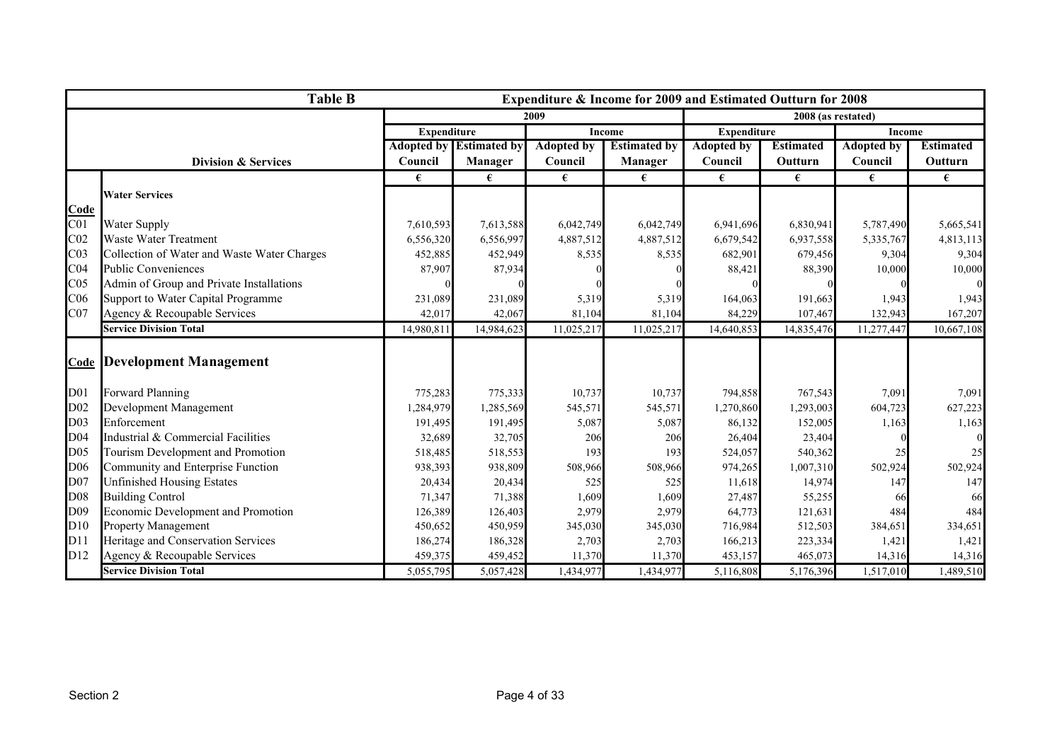|                 | <b>Table B</b>                              |                    |                                |                   | Expenditure & Income for 2009 and Estimated Outturn for 2008 |                                     |                    |                   |                  |
|-----------------|---------------------------------------------|--------------------|--------------------------------|-------------------|--------------------------------------------------------------|-------------------------------------|--------------------|-------------------|------------------|
|                 |                                             |                    |                                | 2009              |                                                              |                                     | 2008 (as restated) |                   |                  |
|                 |                                             | <b>Expenditure</b> |                                |                   | <b>Income</b>                                                | <b>Expenditure</b><br><b>Income</b> |                    |                   |                  |
|                 |                                             |                    | <b>Adopted by Estimated by</b> | <b>Adopted by</b> | <b>Estimated by</b>                                          | <b>Adopted by</b>                   | <b>Estimated</b>   | <b>Adopted by</b> | <b>Estimated</b> |
|                 | <b>Division &amp; Services</b>              | Council            | Manager                        | Council           | <b>Manager</b>                                               | Council                             | Outturn            | Council           | Outturn          |
|                 |                                             | €                  | €                              | €                 | €                                                            | €                                   | €                  | €                 | €                |
|                 | <b>Water Services</b>                       |                    |                                |                   |                                                              |                                     |                    |                   |                  |
| Code            |                                             |                    |                                |                   |                                                              |                                     |                    |                   |                  |
| CO <sub>1</sub> | <b>Water Supply</b>                         | 7,610,593          | 7,613,588                      | 6,042,749         | 6,042,749                                                    | 6,941,696                           | 6,830,941          | 5,787,490         | 5,665,541        |
| CO <sub>2</sub> | Waste Water Treatment                       | 6,556,320          | 6,556,997                      | 4,887,512         | 4,887,512                                                    | 6,679,542                           | 6,937,558          | 5,335,767         | 4,813,113        |
| CO <sub>3</sub> | Collection of Water and Waste Water Charges | 452,885            | 452,949                        | 8,535             | 8,535                                                        | 682,901                             | 679,456            | 9,304             | 9,304            |
| CO <sub>4</sub> | <b>Public Conveniences</b>                  | 87,907             | 87,934                         |                   |                                                              | 88,421                              | 88,390             | 10,000            | 10,000           |
| CO <sub>5</sub> | Admin of Group and Private Installations    |                    |                                |                   |                                                              |                                     |                    |                   |                  |
| C <sub>06</sub> | Support to Water Capital Programme          | 231,089            | 231,089                        | 5,319             | 5,319                                                        | 164,063                             | 191,663            | 1,943             | 1,943            |
| CO7             | Agency & Recoupable Services                | 42,017             | 42,067                         | 81,104            | 81,104                                                       | 84,229                              | 107,467            | 132,943           | 167,207          |
|                 | <b>Service Division Total</b>               | 14,980,811         | 14,984,623                     | 11,025,217        | 11,025,217                                                   | 14,640,853                          | 14,835,476         | 11,277,447        | 10,667,108       |
|                 |                                             |                    |                                |                   |                                                              |                                     |                    |                   |                  |
|                 | <b>Code Development Management</b>          |                    |                                |                   |                                                              |                                     |                    |                   |                  |
|                 |                                             |                    |                                |                   |                                                              |                                     |                    |                   |                  |
| D <sub>01</sub> | Forward Planning                            | 775,283            | 775,333                        | 10,737            | 10,737                                                       | 794,858                             | 767,543            | 7,091             | 7,091            |
| D02             | Development Management                      | 1,284,979          | 1,285,569                      | 545,571           | 545,571                                                      | 1,270,860                           | 1,293,003          | 604,723           | 627,223          |
| D <sub>03</sub> | Enforcement                                 | 191,495            | 191,495                        | 5,087             | 5,087                                                        | 86,132                              | 152,005            | 1,163             | 1,163            |
| D <sub>04</sub> | Industrial & Commercial Facilities          | 32,689             | 32,705                         | 206               | 206                                                          | 26,404                              | 23,404             |                   |                  |
| D <sub>05</sub> | Tourism Development and Promotion           | 518,485            | 518,553                        | 193               | 193                                                          | 524,057                             | 540,362            |                   | 25               |
| D <sub>06</sub> | Community and Enterprise Function           | 938,393            | 938,809                        | 508,966           | 508,966                                                      | 974,265                             | 1,007,310          | 502,924           | 502,924          |
| D07             | <b>Unfinished Housing Estates</b>           | 20,434             | 20,434                         | 525               | 525                                                          | 11,618                              | 14,974             | 147               | 147              |
| D08             | <b>Building Control</b>                     | 71,347             | 71,388                         | 1,609             | 1,609                                                        | 27,487                              | 55,255             |                   | 66               |
| D09             | Economic Development and Promotion          | 126,389            | 126,403                        | 2,979             | 2,979                                                        | 64,773                              | 121,631            | 484               | 484              |
| D10             | <b>Property Management</b>                  | 450,652            | 450,959                        | 345,030           | 345,030                                                      | 716,984                             | 512,503            | 384,651           | 334,651          |
| D11             | Heritage and Conservation Services          | 186,274            | 186,328                        | 2,703             | 2,703                                                        | 166,213                             | 223,334            | 1,421             | 1,421            |
| D12             | Agency & Recoupable Services                | 459,375            | 459,452                        | 11,370            | 11,370                                                       | 453,157                             | 465,073            | 14,316            | 14,316           |
|                 | <b>Service Division Total</b>               | 5,055,795          | 5,057,428                      | 1,434,977         | 1,434,977                                                    | 5,116,808                           | 5,176,396          | 1,517,010         | 1,489,510        |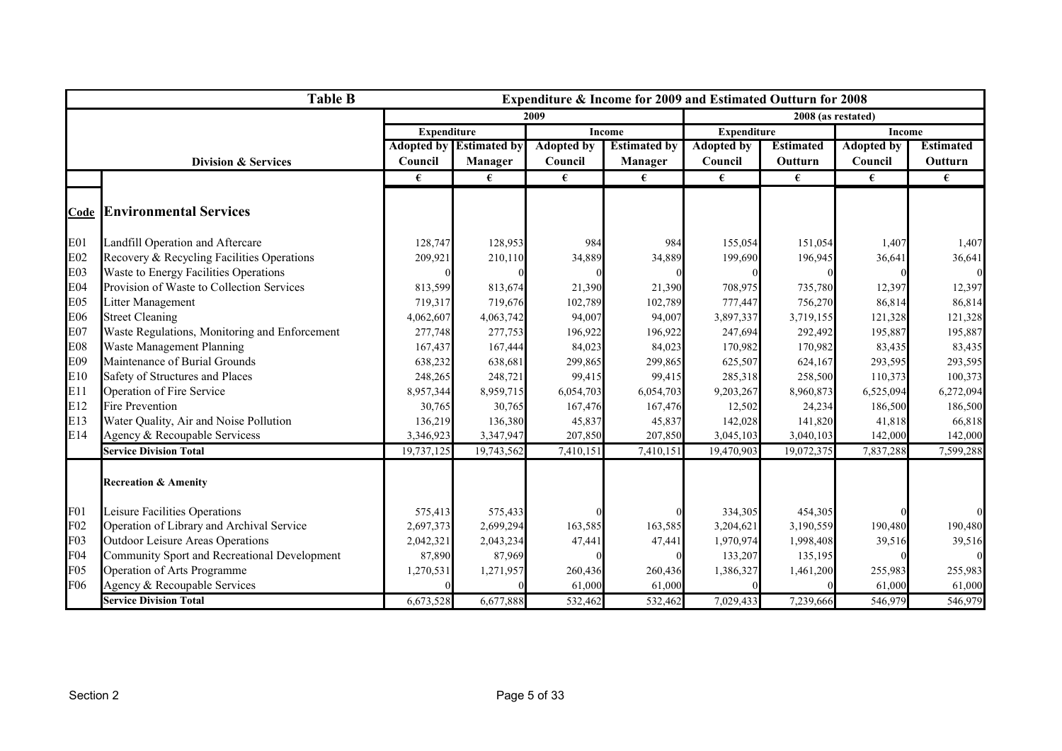|                 | <b>Table B</b>                                |                    |                                |                   | Expenditure & Income for 2009 and Estimated Outturn for 2008 |                    |                    |                   |                  |
|-----------------|-----------------------------------------------|--------------------|--------------------------------|-------------------|--------------------------------------------------------------|--------------------|--------------------|-------------------|------------------|
|                 |                                               |                    |                                | 2009              |                                                              |                    | 2008 (as restated) |                   |                  |
|                 |                                               | <b>Expenditure</b> |                                |                   | <b>Income</b>                                                | <b>Expenditure</b> |                    | Income            |                  |
|                 |                                               |                    | <b>Adopted by Estimated by</b> | <b>Adopted by</b> | <b>Estimated by</b>                                          | <b>Adopted by</b>  | <b>Estimated</b>   | <b>Adopted by</b> | <b>Estimated</b> |
|                 | <b>Division &amp; Services</b>                | Council            | <b>Manager</b>                 | Council           | Manager                                                      | Council            | Outturn            | Council           | Outturn          |
|                 |                                               | €                  | €                              | €                 | €                                                            | €                  | €                  | €                 | €                |
|                 |                                               |                    |                                |                   |                                                              |                    |                    |                   |                  |
|                 | <b>Code Environmental Services</b>            |                    |                                |                   |                                                              |                    |                    |                   |                  |
| E01             | Landfill Operation and Aftercare              | 128,747            | 128,953                        | 984               | 984                                                          | 155,054            | 151,054            | 1,407             | 1,407            |
| E02             | Recovery & Recycling Facilities Operations    | 209,921            | 210,110                        | 34,889            | 34,889                                                       | 199,690            | 196,945            | 36,641            | 36,641           |
| E03             | Waste to Energy Facilities Operations         |                    |                                |                   |                                                              |                    |                    |                   |                  |
| <b>E04</b>      | Provision of Waste to Collection Services     | 813,599            | 813,674                        | 21,390            | 21,390                                                       | 708,975            | 735,780            | 12,397            | 12,397           |
| E05             | <b>Litter Management</b>                      | 719,317            | 719,676                        | 102,789           | 102,789                                                      | 777,447            | 756,270            | 86,814            | 86,814           |
| E06             | <b>Street Cleaning</b>                        | 4,062,607          | 4,063,742                      | 94,007            | 94,007                                                       | 3,897,337          | 3,719,155          | 121,328           | 121,328          |
| E <sub>07</sub> | Waste Regulations, Monitoring and Enforcement | 277,748            | 277,753                        | 196,922           | 196,922                                                      | 247,694            | 292,492            | 195,887           | 195,887          |
| <b>E08</b>      | Waste Management Planning                     | 167,437            | 167,444                        | 84,023            | 84,023                                                       | 170,982            | 170,982            | 83,435            | 83,435           |
| E09             | Maintenance of Burial Grounds                 | 638,232            | 638,681                        | 299,865           | 299,865                                                      | 625,507            | 624,167            | 293,595           | 293,595          |
| E10             | Safety of Structures and Places               | 248,265            | 248,721                        | 99,415            | 99,415                                                       | 285,318            | 258,500            | 110,373           | 100,373          |
| E11             | Operation of Fire Service                     | 8,957,344          | 8,959,715                      | 6,054,703         | 6,054,703                                                    | 9,203,267          | 8,960,873          | 6,525,094         | 6,272,094        |
| E12             | <b>Fire Prevention</b>                        | 30,765             | 30,765                         | 167,476           | 167,476                                                      | 12,502             | 24,234             | 186,500           | 186,500          |
| E13             | Water Quality, Air and Noise Pollution        | 136,219            | 136,380                        | 45,837            | 45,837                                                       | 142,028            | 141,820            | 41,818            | 66,818           |
| E14             | Agency & Recoupable Servicess                 | 3,346,923          | 3,347,947                      | 207,850           | 207,850                                                      | 3,045,103          | 3,040,103          | 142,000           | 142,000          |
|                 | <b>Service Division Total</b>                 | 19,737,125         | 19,743,562                     | 7,410,151         | 7,410,151                                                    | 19,470,903         | 19,072,375         | 7,837,288         | 7,599,288        |
|                 | <b>Recreation &amp; Amenity</b>               |                    |                                |                   |                                                              |                    |                    |                   |                  |
| F01             | Leisure Facilities Operations                 | 575,413            | 575,433                        |                   |                                                              | 334,305            | 454,305            |                   |                  |
| F02             | Operation of Library and Archival Service     | 2,697,373          | 2,699,294                      | 163,585           | 163,585                                                      | 3,204,621          | 3,190,559          | 190,480           | 190,480          |
| F03             | <b>Outdoor Leisure Areas Operations</b>       | 2,042,321          | 2,043,234                      | 47,441            | 47,441                                                       | 1,970,974          | 1,998,408          | 39,516            | 39,516           |
| F04             | Community Sport and Recreational Development  | 87,890             | 87,969                         |                   |                                                              | 133,207            | 135,195            |                   |                  |
| F <sub>05</sub> | Operation of Arts Programme                   | 1,270,531          | 1,271,957                      | 260,436           | 260,436                                                      | 1,386,327          | 1,461,200          | 255,983           | 255,983          |
| F06             | Agency & Recoupable Services                  |                    |                                | 61,000            | 61,000                                                       |                    |                    | 61,000            | 61,000           |
|                 | <b>Service Division Total</b>                 | 6,673,528          | 6,677,888                      | 532,462           | 532,462                                                      | 7,029,433          | 7,239,666          | 546,979           | 546,979          |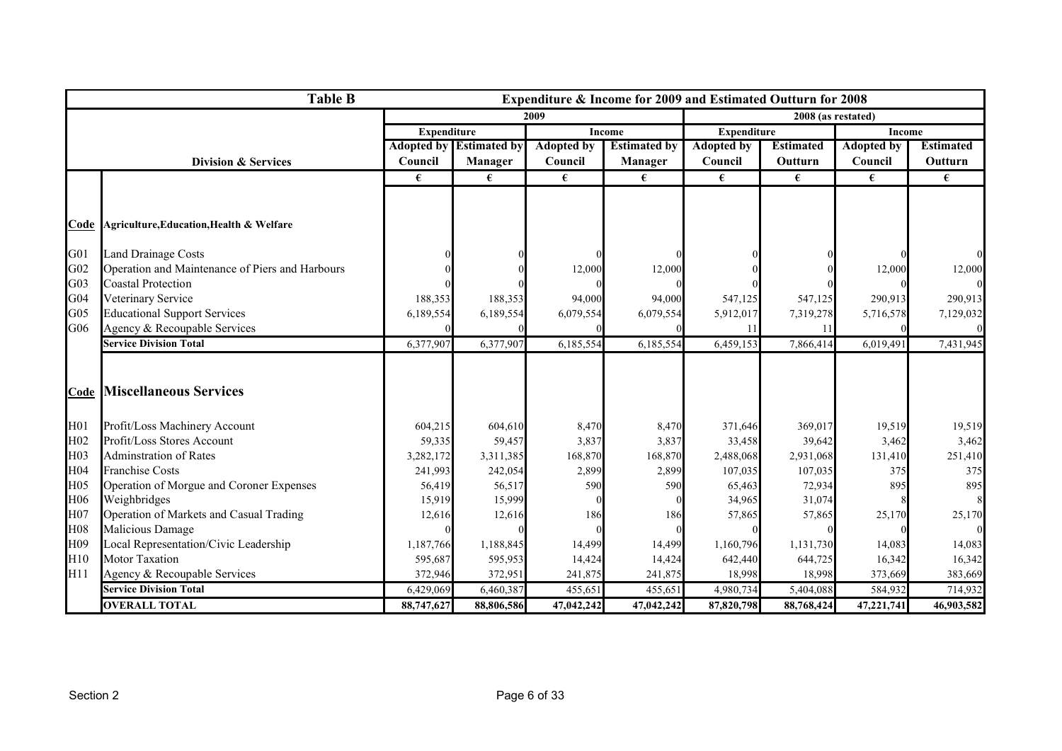|                 | <b>Table B</b>                                  |                    |                                |                   | Expenditure & Income for 2009 and Estimated Outturn for 2008 |                    |                    |                   |                  |
|-----------------|-------------------------------------------------|--------------------|--------------------------------|-------------------|--------------------------------------------------------------|--------------------|--------------------|-------------------|------------------|
|                 |                                                 |                    |                                | 2009              |                                                              |                    | 2008 (as restated) |                   |                  |
|                 |                                                 | <b>Expenditure</b> |                                |                   | <b>Income</b>                                                | <b>Expenditure</b> |                    | <b>Income</b>     |                  |
|                 |                                                 |                    | <b>Adopted by Estimated by</b> | <b>Adopted by</b> | <b>Estimated by</b>                                          | <b>Adopted by</b>  | <b>Estimated</b>   | <b>Adopted by</b> | <b>Estimated</b> |
|                 | <b>Division &amp; Services</b>                  | Council            | <b>Manager</b>                 | Council           | <b>Manager</b>                                               | Council            | Outturn            | Council           | Outturn          |
|                 |                                                 | €                  | €                              | €                 | €                                                            | €                  | €                  | €                 | €                |
|                 |                                                 |                    |                                |                   |                                                              |                    |                    |                   |                  |
|                 |                                                 |                    |                                |                   |                                                              |                    |                    |                   |                  |
|                 | Code Agriculture, Education, Health & Welfare   |                    |                                |                   |                                                              |                    |                    |                   |                  |
| G01             | <b>Land Drainage Costs</b>                      |                    |                                |                   |                                                              |                    |                    |                   |                  |
| G <sub>02</sub> | Operation and Maintenance of Piers and Harbours |                    |                                | 12,000            | 12,000                                                       |                    |                    | 12,000            | 12,000           |
| G03             | <b>Coastal Protection</b>                       |                    |                                |                   |                                                              |                    |                    |                   |                  |
| G04             | Veterinary Service                              | 188,353            | 188,353                        | 94,000            | 94,000                                                       | 547,125            | 547,125            | 290,913           | 290,913          |
| G <sub>05</sub> | <b>Educational Support Services</b>             | 6,189,554          | 6,189,554                      | 6,079,554         | 6,079,554                                                    | 5,912,017          | 7,319,278          | 5,716,578         | 7,129,032        |
| G06             | Agency & Recoupable Services                    |                    |                                |                   |                                                              | 11                 | 11                 |                   |                  |
|                 | <b>Service Division Total</b>                   | 6,377,907          | 6,377,907                      | 6,185,554         | 6,185,554                                                    | 6,459,153          | 7,866,414          | 6,019,491         | 7,431,945        |
|                 |                                                 |                    |                                |                   |                                                              |                    |                    |                   |                  |
|                 |                                                 |                    |                                |                   |                                                              |                    |                    |                   |                  |
|                 | <b>Code Miscellaneous Services</b>              |                    |                                |                   |                                                              |                    |                    |                   |                  |
| H <sub>01</sub> | Profit/Loss Machinery Account                   | 604,215            | 604,610                        | 8,470             | 8,470                                                        | 371,646            | 369,017            | 19,519            | 19,519           |
| H <sub>02</sub> | Profit/Loss Stores Account                      | 59,335             | 59,457                         | 3,837             | 3,837                                                        | 33,458             | 39,642             | 3,462             | 3,462            |
| H03             | <b>Adminstration of Rates</b>                   | 3,282,172          | 3,311,385                      | 168,870           | 168,870                                                      | 2,488,068          | 2,931,068          | 131,410           | 251,410          |
| H04             | <b>Franchise Costs</b>                          | 241,993            | 242,054                        | 2,899             | 2,899                                                        | 107,035            | 107,035            | 375               | 375              |
| H05             | Operation of Morgue and Coroner Expenses        | 56,419             | 56,517                         | 590               | 590                                                          | 65,463             | 72,934             | 895               | 895              |
| H06             | Weighbridges                                    | 15,919             | 15,999                         |                   |                                                              | 34,965             | 31,074             |                   |                  |
| H07             | Operation of Markets and Casual Trading         | 12,616             | 12,616                         | 186               | 186                                                          | 57,865             | 57,865             | 25,170            | 25,170           |
| H08             | Malicious Damage                                |                    |                                |                   |                                                              |                    |                    |                   |                  |
| H09             | Local Representation/Civic Leadership           | 1,187,766          | 1,188,845                      | 14,499            | 14,499                                                       | 1,160,796          | 1,131,730          | 14,083            | 14,083           |
| H10             | <b>Motor Taxation</b>                           | 595,687            | 595,953                        | 14,424            | 14,424                                                       | 642,440            | 644,725            | 16,342            | 16,342           |
| H11             | Agency & Recoupable Services                    | 372,946            | 372,951                        | 241,875           | 241,875                                                      | 18,998             | 18,998             | 373,669           | 383,669          |
|                 | <b>Service Division Total</b>                   | 6,429,069          | 6,460,387                      | 455,651           | 455,651                                                      | 4,980,734          | 5,404,088          | 584,932           | 714,932          |
|                 | <b>OVERALL TOTAL</b>                            | 88,747,627         | 88,806,586                     | 47,042,242        | 47,042,242                                                   | 87,820,798         | 88,768,424         | 47,221,741        | 46,903,582       |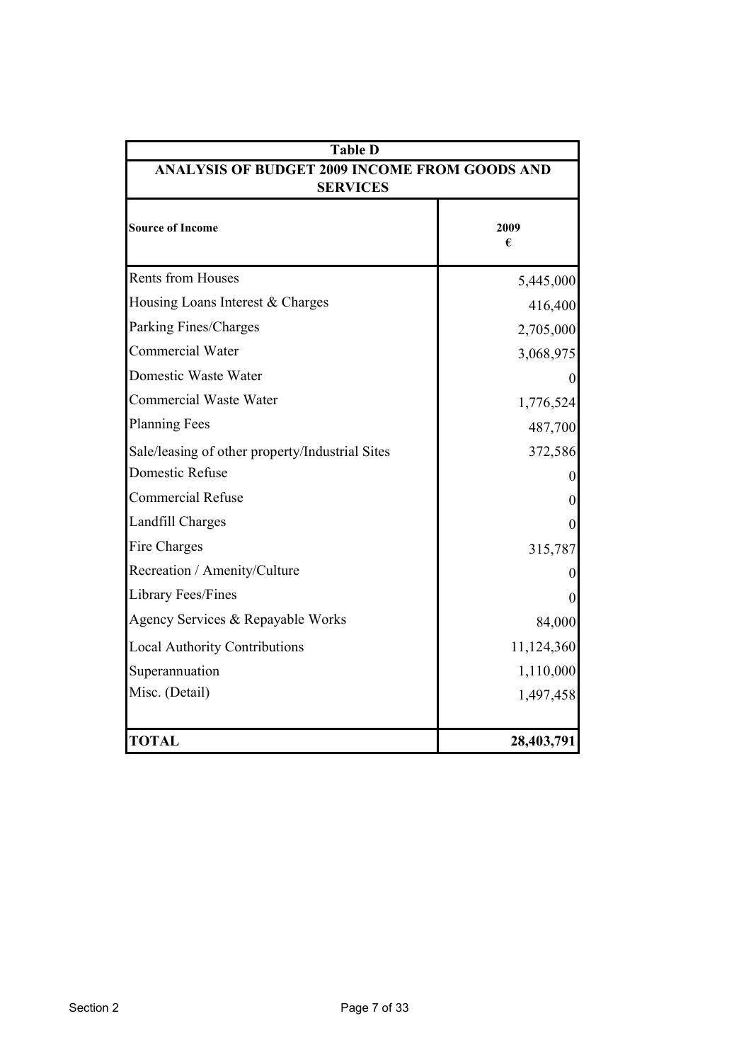| <b>Table D</b>                                  |                                                      |  |  |  |  |
|-------------------------------------------------|------------------------------------------------------|--|--|--|--|
| <b>SERVICES</b>                                 | <b>ANALYSIS OF BUDGET 2009 INCOME FROM GOODS AND</b> |  |  |  |  |
| <b>Source of Income</b>                         | 2009<br>€                                            |  |  |  |  |
| <b>Rents from Houses</b>                        | 5,445,000                                            |  |  |  |  |
| Housing Loans Interest & Charges                | 416,400                                              |  |  |  |  |
| Parking Fines/Charges                           | 2,705,000                                            |  |  |  |  |
| <b>Commercial Water</b>                         | 3,068,975                                            |  |  |  |  |
| Domestic Waste Water                            |                                                      |  |  |  |  |
| <b>Commercial Waste Water</b>                   | 1,776,524                                            |  |  |  |  |
| <b>Planning Fees</b>                            | 487,700                                              |  |  |  |  |
| Sale/leasing of other property/Industrial Sites | 372,586                                              |  |  |  |  |
| <b>Domestic Refuse</b>                          |                                                      |  |  |  |  |
| <b>Commercial Refuse</b>                        | 0                                                    |  |  |  |  |
| <b>Landfill Charges</b>                         | 0                                                    |  |  |  |  |
| Fire Charges                                    | 315,787                                              |  |  |  |  |
| Recreation / Amenity/Culture                    |                                                      |  |  |  |  |
| Library Fees/Fines                              |                                                      |  |  |  |  |
| Agency Services & Repayable Works               | 84,000                                               |  |  |  |  |
| <b>Local Authority Contributions</b>            | 11,124,360                                           |  |  |  |  |
| Superannuation                                  | 1,110,000                                            |  |  |  |  |
| Misc. (Detail)                                  | 1,497,458                                            |  |  |  |  |
| <b>TOTAL</b>                                    | 28,403,791                                           |  |  |  |  |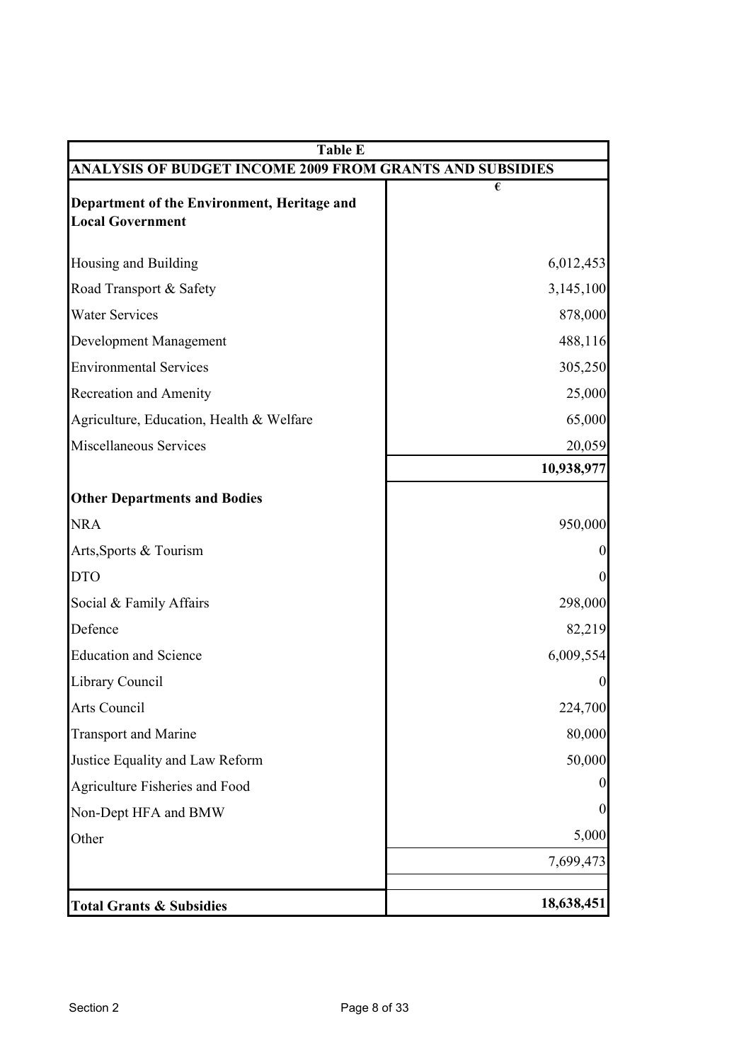| <b>Table E</b>                                                         |                       |
|------------------------------------------------------------------------|-----------------------|
| ANALYSIS OF BUDGET INCOME 2009 FROM GRANTS AND SUBSIDIES               |                       |
| Department of the Environment, Heritage and<br><b>Local Government</b> | $\overline{\epsilon}$ |
| Housing and Building                                                   | 6,012,453             |
| Road Transport & Safety                                                | 3,145,100             |
| <b>Water Services</b>                                                  | 878,000               |
| Development Management                                                 | 488,116               |
| <b>Environmental Services</b>                                          | 305,250               |
| Recreation and Amenity                                                 | 25,000                |
| Agriculture, Education, Health & Welfare                               | 65,000                |
| Miscellaneous Services                                                 | 20,059                |
|                                                                        | 10,938,977            |
| <b>Other Departments and Bodies</b>                                    |                       |
| <b>NRA</b>                                                             | 950,000               |
| Arts, Sports & Tourism                                                 | $\Omega$              |
| <b>DTO</b>                                                             | $\theta$              |
| Social & Family Affairs                                                | 298,000               |
| Defence                                                                | 82,219                |
| <b>Education and Science</b>                                           | 6,009,554             |
| <b>Library Council</b>                                                 | $\boldsymbol{0}$      |
| Arts Council                                                           | 224,700               |
| <b>Transport and Marine</b>                                            | 80,000                |
| Justice Equality and Law Reform                                        | 50,000                |
| Agriculture Fisheries and Food                                         | O                     |
| Non-Dept HFA and BMW                                                   | $\boldsymbol{0}$      |
| Other                                                                  | 5,000                 |
|                                                                        | 7,699,473             |
| <b>Total Grants &amp; Subsidies</b>                                    | 18,638,451            |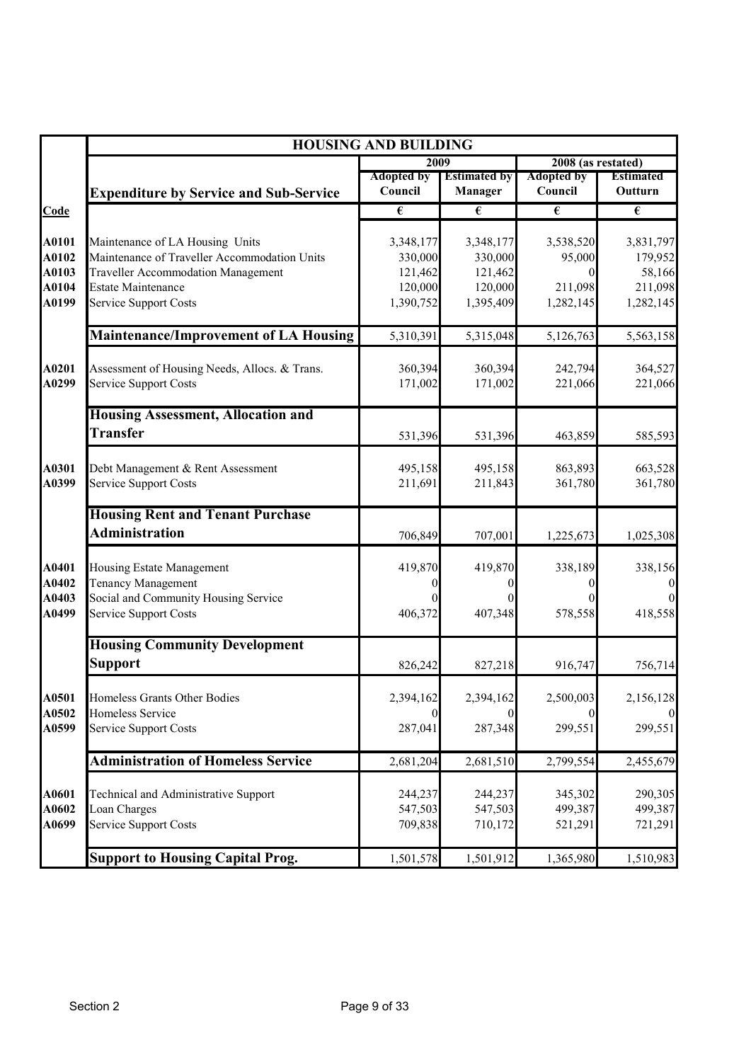|                |                                                                        | <b>HOUSING AND BUILDING</b>  |                                       |                              |                             |
|----------------|------------------------------------------------------------------------|------------------------------|---------------------------------------|------------------------------|-----------------------------|
|                |                                                                        | 2009                         |                                       | 2008 (as restated)           |                             |
|                | <b>Expenditure by Service and Sub-Service</b>                          | <b>Adopted by</b><br>Council | <b>Estimated by</b><br><b>Manager</b> | <b>Adopted by</b><br>Council | <b>Estimated</b><br>Outturn |
| Code           |                                                                        | $\overline{\epsilon}$        | €                                     | $\overline{\epsilon}$        | $\overline{\epsilon}$       |
| A0101          | Maintenance of LA Housing Units                                        | 3,348,177                    | 3,348,177                             | 3,538,520                    | 3,831,797                   |
| A0102          | Maintenance of Traveller Accommodation Units                           | 330,000                      | 330,000                               | 95,000                       | 179,952                     |
| A0103<br>A0104 | <b>Traveller Accommodation Management</b><br><b>Estate Maintenance</b> | 121,462<br>120,000           | 121,462<br>120,000                    | $\theta$<br>211,098          | 58,166<br>211,098           |
| A0199          | <b>Service Support Costs</b>                                           | 1,390,752                    | 1,395,409                             | 1,282,145                    | 1,282,145                   |
|                | <b>Maintenance/Improvement of LA Housing</b>                           | 5,310,391                    | 5,315,048                             | 5,126,763                    | 5,563,158                   |
| A0201          | Assessment of Housing Needs, Allocs. & Trans.                          | 360,394                      | 360,394                               | 242,794                      | 364,527                     |
| A0299          | Service Support Costs                                                  | 171,002                      | 171,002                               | 221,066                      | 221,066                     |
|                | <b>Housing Assessment, Allocation and</b>                              |                              |                                       |                              |                             |
|                | <b>Transfer</b>                                                        | 531,396                      | 531,396                               | 463,859                      | 585,593                     |
| A0301          | Debt Management & Rent Assessment                                      | 495,158                      | 495,158                               | 863,893                      | 663,528                     |
| A0399          | Service Support Costs                                                  | 211,691                      | 211,843                               | 361,780                      | 361,780                     |
|                | <b>Housing Rent and Tenant Purchase</b>                                |                              |                                       |                              |                             |
|                | <b>Administration</b>                                                  | 706,849                      | 707,001                               | 1,225,673                    | 1,025,308                   |
| A0401<br>A0402 | Housing Estate Management<br>Tenancy Management                        | 419,870<br>$\Omega$          | 419,870<br>0                          | 338,189<br>$_{0}$            | 338,156<br>$\overline{0}$   |
| A0403          | Social and Community Housing Service                                   |                              |                                       |                              | $\Omega$                    |
| A0499          | <b>Service Support Costs</b>                                           | 406,372                      | 407,348                               | 578,558                      | 418,558                     |
|                | <b>Housing Community Development</b>                                   |                              |                                       |                              |                             |
|                | <b>Support</b>                                                         | 826,242                      | 827,218                               | 916,747                      | 756,714                     |
| A0501<br>A0502 | Homeless Grants Other Bodies<br>Homeless Service                       | 2,394,162<br>$\theta$        | 2,394,162<br>0                        | 2,500,003<br>0               | 2,156,128<br>$\overline{0}$ |
| A0599          | Service Support Costs                                                  | 287,041                      | 287,348                               | 299,551                      | 299,551                     |
|                | <b>Administration of Homeless Service</b>                              | 2,681,204                    | 2,681,510                             | 2,799,554                    | 2,455,679                   |
| A0601          | <b>Technical and Administrative Support</b>                            | 244,237                      | 244,237                               | 345,302                      | 290,305                     |
| A0602          | Loan Charges                                                           | 547,503                      | 547,503                               | 499,387                      | 499,387                     |
| A0699          | Service Support Costs                                                  | 709,838                      | 710,172                               | 521,291                      | 721,291                     |
|                | <b>Support to Housing Capital Prog.</b>                                | 1,501,578                    | 1,501,912                             | 1,365,980                    | 1,510,983                   |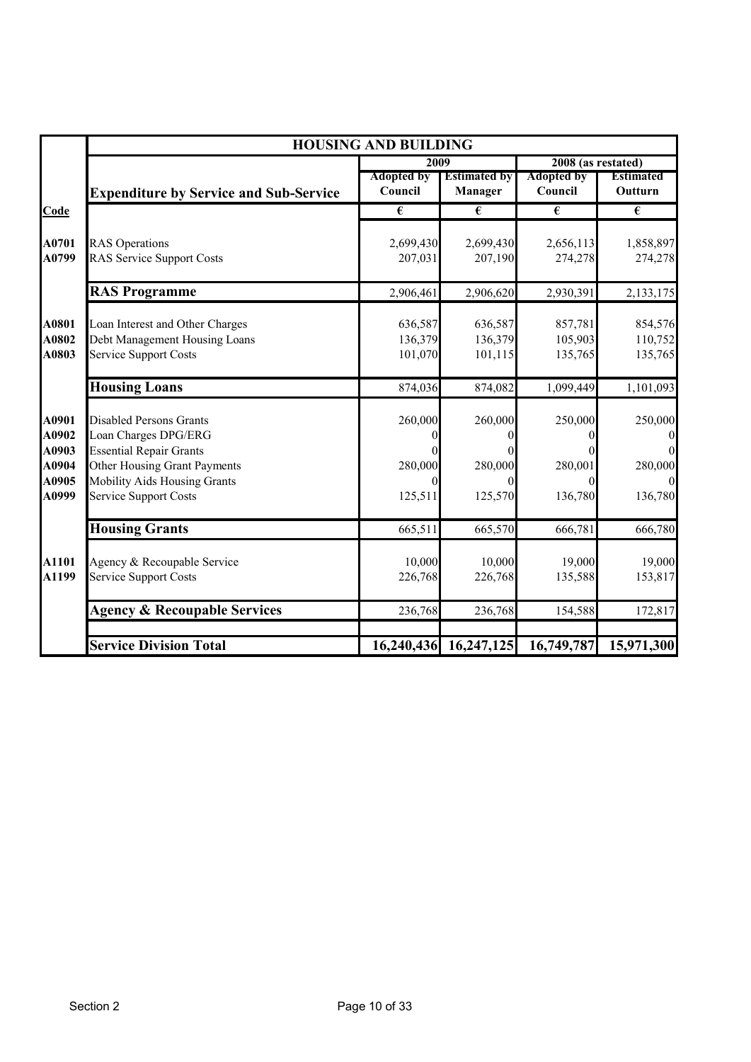|                                                    |                                                                                                                                                                                                 |                                                       | <b>HOUSING AND BUILDING</b>           |                                           |                                                                               |  |  |  |
|----------------------------------------------------|-------------------------------------------------------------------------------------------------------------------------------------------------------------------------------------------------|-------------------------------------------------------|---------------------------------------|-------------------------------------------|-------------------------------------------------------------------------------|--|--|--|
|                                                    |                                                                                                                                                                                                 | 2009                                                  |                                       | 2008 (as restated)                        |                                                                               |  |  |  |
|                                                    | <b>Expenditure by Service and Sub-Service</b>                                                                                                                                                   | <b>Adopted by</b><br>Council                          | <b>Estimated by</b><br><b>Manager</b> | <b>Adopted by</b><br>Council              | <b>Estimated</b><br>Outturn                                                   |  |  |  |
| <b>Code</b>                                        |                                                                                                                                                                                                 | €                                                     | €                                     | €                                         | $\overline{\epsilon}$                                                         |  |  |  |
| A0701<br>A0799                                     | <b>RAS</b> Operations<br><b>RAS Service Support Costs</b>                                                                                                                                       | 2,699,430<br>207,031                                  | 2,699,430<br>207,190                  | 2,656,113<br>274,278                      | 1,858,897<br>274,278                                                          |  |  |  |
|                                                    | <b>RAS Programme</b>                                                                                                                                                                            | 2,906,461                                             | 2,906,620                             | 2,930,391                                 | 2,133,175                                                                     |  |  |  |
| A0801<br>A0802<br>A0803                            | Loan Interest and Other Charges<br>Debt Management Housing Loans<br><b>Service Support Costs</b>                                                                                                | 636,587<br>136,379<br>101,070                         | 636,587<br>136,379<br>101,115         | 857,781<br>105,903<br>135,765             | 854,576<br>110,752<br>135,765                                                 |  |  |  |
|                                                    | <b>Housing Loans</b>                                                                                                                                                                            | 874,036                                               | 874,082                               | 1,099,449                                 | 1,101,093                                                                     |  |  |  |
| A0901<br>A0902<br>A0903<br>A0904<br>A0905<br>A0999 | <b>Disabled Persons Grants</b><br>Loan Charges DPG/ERG<br><b>Essential Repair Grants</b><br>Other Housing Grant Payments<br><b>Mobility Aids Housing Grants</b><br><b>Service Support Costs</b> | 260,000<br>$\theta$<br>280,000<br>$\theta$<br>125,511 | 260,000<br>280,000<br>125,570         | 250,000<br>280,001<br>$\Omega$<br>136,780 | 250,000<br>$\boldsymbol{0}$<br>$\mathbf{0}$<br>280,000<br>$\Omega$<br>136,780 |  |  |  |
|                                                    | <b>Housing Grants</b>                                                                                                                                                                           | 665,511                                               | 665,570                               | 666,781                                   | 666,780                                                                       |  |  |  |
| A1101<br>A1199                                     | Agency & Recoupable Service<br><b>Service Support Costs</b>                                                                                                                                     | 10,000<br>226,768                                     | 10,000<br>226,768                     | 19,000<br>135,588                         | 19,000<br>153,817                                                             |  |  |  |
|                                                    | <b>Agency &amp; Recoupable Services</b>                                                                                                                                                         | 236,768                                               | 236,768                               | 154,588                                   | 172,817                                                                       |  |  |  |
|                                                    | <b>Service Division Total</b>                                                                                                                                                                   | 16,240,436                                            | 16,247,125                            | 16,749,787                                | 15,971,300                                                                    |  |  |  |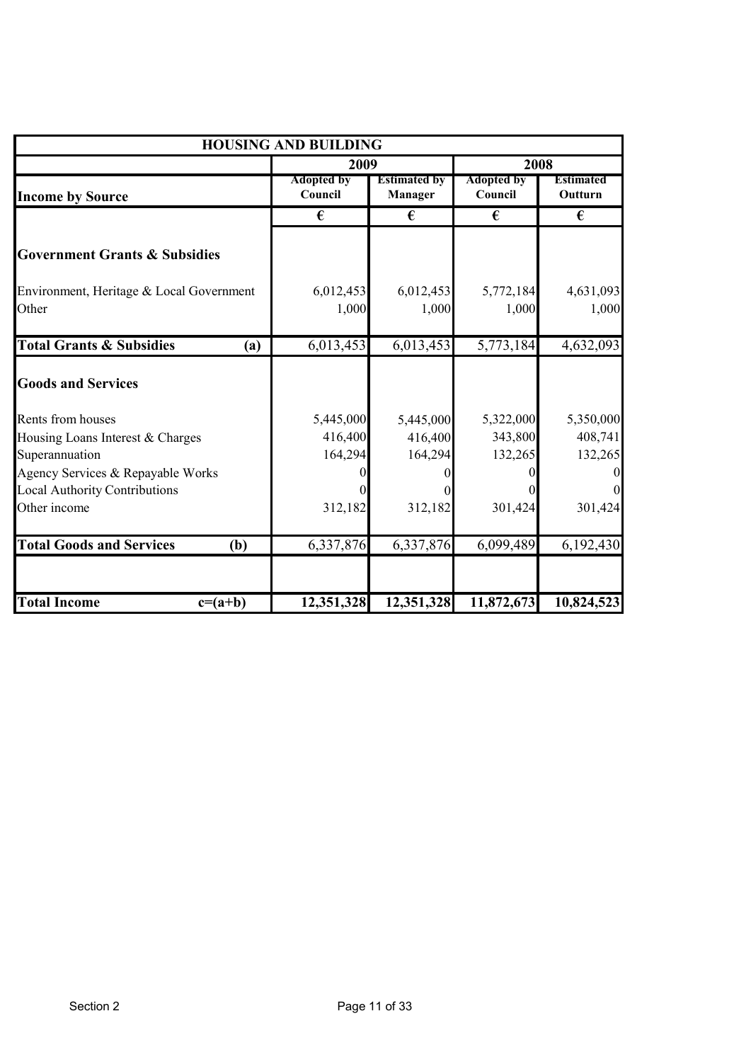|                                                                                                                                                      | <b>HOUSING AND BUILDING</b>     |                                 |                                 |                                                 |
|------------------------------------------------------------------------------------------------------------------------------------------------------|---------------------------------|---------------------------------|---------------------------------|-------------------------------------------------|
|                                                                                                                                                      | 2009                            |                                 |                                 | 2008                                            |
| <b>Income by Source</b>                                                                                                                              | <b>Adopted by</b><br>Council    | <b>Estimated by</b><br>Manager  | <b>Adopted by</b><br>Council    | Estimated<br>Outturn                            |
|                                                                                                                                                      | €                               | €                               | €                               | €                                               |
| <b>Government Grants &amp; Subsidies</b>                                                                                                             |                                 |                                 |                                 |                                                 |
| Environment, Heritage & Local Government<br>Other                                                                                                    | 6,012,453<br>1,000              | 6,012,453<br>1,000              | 5,772,184<br>1,000              | 4,631,093<br>1,000                              |
| <b>Total Grants &amp; Subsidies</b><br>(a)                                                                                                           | 6,013,453                       | 6,013,453                       | 5,773,184                       | 4,632,093                                       |
| <b>Goods and Services</b>                                                                                                                            |                                 |                                 |                                 |                                                 |
| Rents from houses<br>Housing Loans Interest & Charges<br>Superannuation<br>Agency Services & Repayable Works<br><b>Local Authority Contributions</b> | 5,445,000<br>416,400<br>164,294 | 5,445,000<br>416,400<br>164,294 | 5,322,000<br>343,800<br>132,265 | 5,350,000<br>408,741<br>132,265<br>$\mathbf{0}$ |
| Other income                                                                                                                                         | 312,182                         | 312,182                         | 301,424                         | 301,424                                         |
| <b>Total Goods and Services</b><br>(b)                                                                                                               | 6,337,876                       | 6,337,876                       | 6,099,489                       | 6,192,430                                       |
| <b>Total Income</b><br>$c=(a+b)$                                                                                                                     | 12,351,328                      | 12,351,328                      | 11,872,673                      | 10,824,523                                      |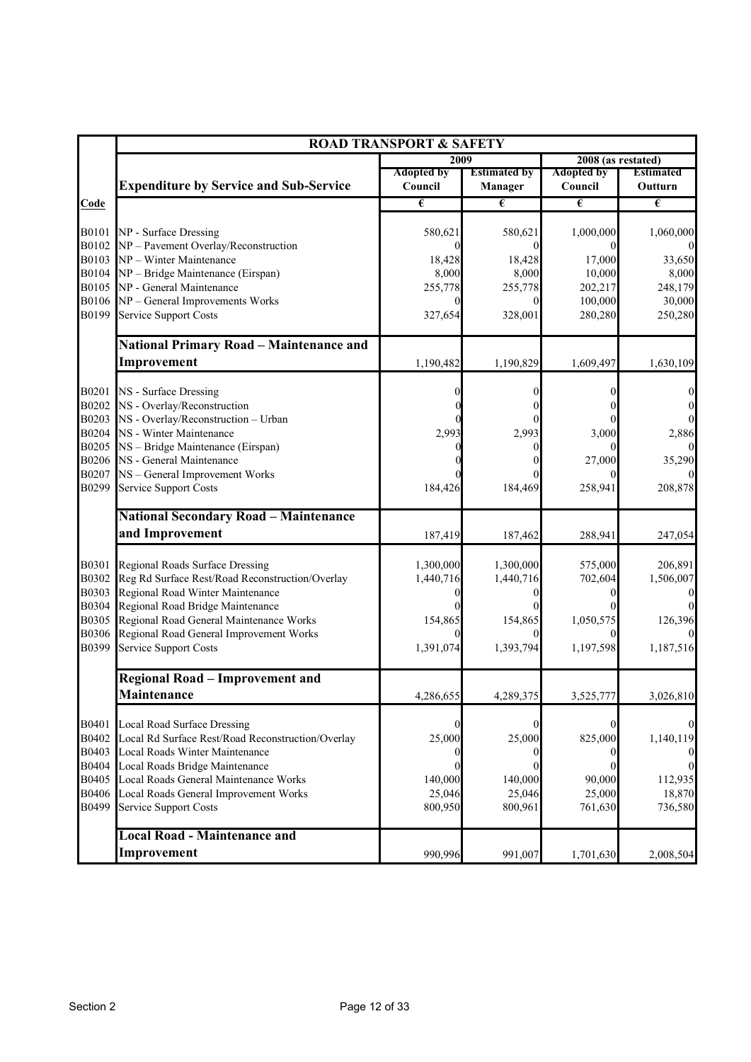|              |                                                                     | <b>ROAD TRANSPORT &amp; SAFETY</b> |                     |                       |                       |
|--------------|---------------------------------------------------------------------|------------------------------------|---------------------|-----------------------|-----------------------|
|              |                                                                     | 2009                               |                     | 2008 (as restated)    |                       |
|              |                                                                     | <b>Adopted by</b>                  | <b>Estimated by</b> | <b>Adopted by</b>     | <b>Estimated</b>      |
|              | <b>Expenditure by Service and Sub-Service</b>                       | Council                            | <b>Manager</b>      | Council               | Outturn               |
| Code         |                                                                     | $\pmb{\epsilon}$                   | €                   | $\overline{\epsilon}$ | $\overline{\epsilon}$ |
| <b>B0101</b> | NP - Surface Dressing                                               | 580,621                            | 580,621             | 1,000,000             | 1,060,000             |
| B0102        | NP - Pavement Overlay/Reconstruction                                |                                    |                     |                       |                       |
| B0103        | NP - Winter Maintenance                                             | 18,428                             | 18,428              | 17,000                | 33,650                |
|              | B0104 NP - Bridge Maintenance (Eirspan)                             | 8,000                              | 8,000               | 10,000                | 8,000                 |
| B0105        | NP - General Maintenance                                            | 255,778                            | 255,778             | 202,217               | 248,179               |
|              | B0106 NP - General Improvements Works                               |                                    |                     | 100,000               | 30,000                |
| B0199        | <b>Service Support Costs</b>                                        | 327,654                            | 328,001             | 280,280               | 250,280               |
|              | <b>National Primary Road - Maintenance and</b>                      |                                    |                     |                       |                       |
|              | Improvement                                                         | 1,190,482                          | 1,190,829           | 1,609,497             | 1,630,109             |
|              |                                                                     |                                    |                     |                       |                       |
| B0201        | NS - Surface Dressing                                               |                                    |                     |                       |                       |
| B0202        | NS - Overlay/Reconstruction                                         |                                    |                     |                       |                       |
| B0203        | NS - Overlay/Reconstruction - Urban                                 |                                    |                     |                       |                       |
| B0205        | B0204 NS - Winter Maintenance                                       | 2,993                              | 2,993               | 3,000                 | 2,886                 |
|              | NS - Bridge Maintenance (Eirspan)<br>B0206 NS - General Maintenance |                                    |                     | 27,000                | 35,290                |
| B0207        | NS - General Improvement Works                                      |                                    |                     |                       |                       |
| B0299        | Service Support Costs                                               | 184,426                            | 184,469             | 258,941               | 208,878               |
|              |                                                                     |                                    |                     |                       |                       |
|              | <b>National Secondary Road - Maintenance</b>                        |                                    |                     |                       |                       |
|              | and Improvement                                                     | 187,419                            | 187,462             | 288,941               | 247,054               |
| B0301        | Regional Roads Surface Dressing                                     | 1,300,000                          | 1,300,000           | 575,000               | 206,891               |
| B0302        | Reg Rd Surface Rest/Road Reconstruction/Overlay                     | 1,440,716                          | 1,440,716           | 702,604               | 1,506,007             |
| B0303        | Regional Road Winter Maintenance                                    |                                    |                     |                       |                       |
| B0304        | Regional Road Bridge Maintenance                                    |                                    |                     |                       |                       |
| B0305        | Regional Road General Maintenance Works                             | 154,865                            | 154,865             | 1,050,575             | 126,396               |
| B0306        | Regional Road General Improvement Works                             |                                    |                     |                       |                       |
| B0399        | <b>Service Support Costs</b>                                        | 1,391,074                          | 1,393,794           | 1,197,598             | 1,187,516             |
|              | <b>Regional Road - Improvement and</b>                              |                                    |                     |                       |                       |
|              | Maintenance                                                         | 4,286,655                          | 4,289,375           | 3,525,777             | 3,026,810             |
| B0401        | Local Road Surface Dressing                                         | $\Omega$                           | 0                   |                       |                       |
| B0402        | Local Rd Surface Rest/Road Reconstruction/Overlay                   | 25,000                             | 25,000              | 825,000               | 1,140,119             |
| B0403        | Local Roads Winter Maintenance                                      |                                    |                     |                       |                       |
| B0404        | Local Roads Bridge Maintenance                                      | $\Omega$                           |                     | 0                     |                       |
| B0405        | Local Roads General Maintenance Works                               | 140,000                            | 140,000             | 90,000                | 112,935               |
| B0406        | Local Roads General Improvement Works                               | 25,046                             | 25,046              | 25,000                | 18,870                |
| B0499        | <b>Service Support Costs</b>                                        | 800,950                            | 800,961             | 761,630               | 736,580               |
|              |                                                                     |                                    |                     |                       |                       |
|              | <b>Local Road - Maintenance and</b>                                 |                                    |                     |                       |                       |
|              | Improvement                                                         | 990,996                            | 991,007             | 1,701,630             | 2,008,504             |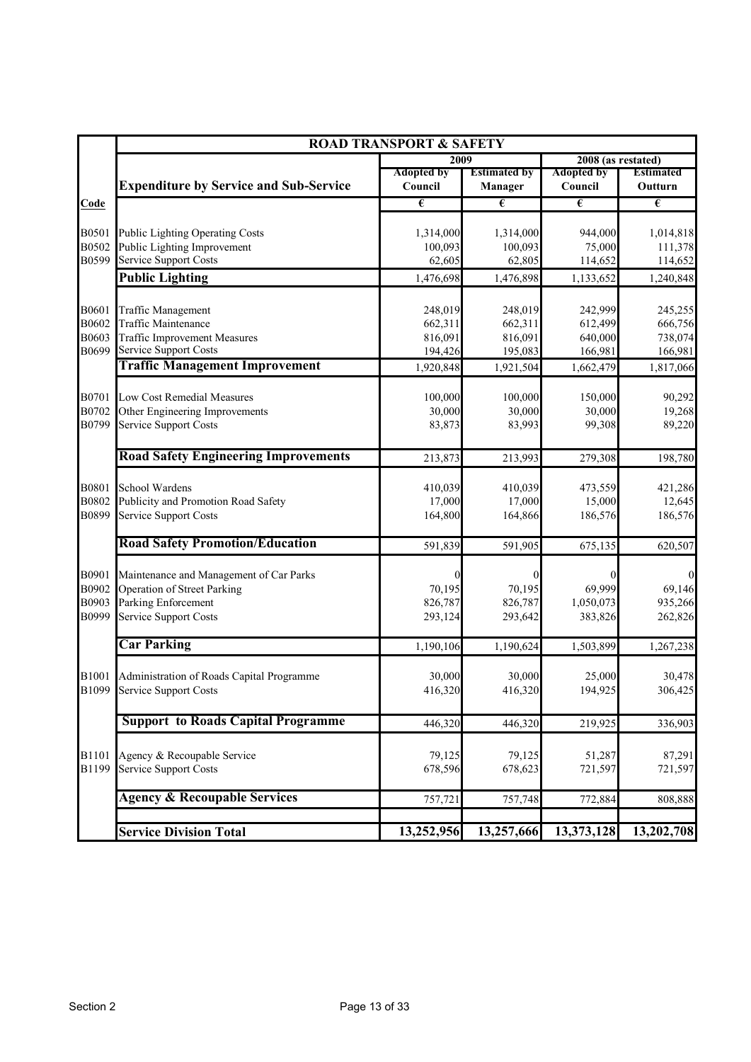|                |                                                             | <b>ROAD TRANSPORT &amp; SAFETY</b> |                                       |                              |                             |
|----------------|-------------------------------------------------------------|------------------------------------|---------------------------------------|------------------------------|-----------------------------|
|                |                                                             | 2009                               |                                       | 2008 (as restated)           |                             |
|                | <b>Expenditure by Service and Sub-Service</b>               | <b>Adopted by</b><br>Council       | <b>Estimated by</b><br><b>Manager</b> | <b>Adopted by</b><br>Council | <b>Estimated</b><br>Outturn |
| Code           |                                                             | $\epsilon$                         | $\overline{\epsilon}$                 | $\epsilon$                   | $\epsilon$                  |
| B0501          | Public Lighting Operating Costs                             | 1,314,000                          | 1,314,000                             | 944,000                      | 1,014,818                   |
| B0502          | Public Lighting Improvement                                 | 100,093                            | 100,093                               | 75,000                       | 111,378                     |
| B0599          | <b>Service Support Costs</b>                                | 62,605                             | 62,805                                | 114,652                      | 114,652                     |
|                | <b>Public Lighting</b>                                      | 1,476,698                          | 1,476,898                             | 1,133,652                    | 1,240,848                   |
| B0601          | <b>Traffic Management</b>                                   | 248,019                            | 248,019                               | 242,999                      | 245,255                     |
| B0602          | Traffic Maintenance                                         | 662,311                            | 662,311                               | 612,499                      | 666,756                     |
| B0603          | <b>Traffic Improvement Measures</b>                         | 816,091                            | 816,091                               | 640,000                      | 738,074                     |
| B0699          | <b>Service Support Costs</b>                                | 194,426                            | 195,083                               | 166,981                      | 166,981                     |
|                | <b>Traffic Management Improvement</b>                       | 1,920,848                          | 1,921,504                             | 1,662,479                    | 1,817,066                   |
| B0701          | Low Cost Remedial Measures                                  | 100,000                            | 100,000                               | 150,000                      | 90,292                      |
| B0702          | Other Engineering Improvements                              | 30,000                             | 30,000                                | 30,000                       | 19,268                      |
| B0799          | <b>Service Support Costs</b>                                | 83,873                             | 83,993                                | 99,308                       | 89,220                      |
|                | <b>Road Safety Engineering Improvements</b>                 | 213,873                            | 213,993                               | 279,308                      | 198,780                     |
| B0801          | School Wardens                                              | 410,039                            | 410,039                               | 473,559                      | 421,286                     |
| B0802          | Publicity and Promotion Road Safety                         | 17,000                             | 17,000                                | 15,000                       | 12,645                      |
| B0899          | <b>Service Support Costs</b>                                | 164,800                            | 164,866                               | 186,576                      | 186,576                     |
|                | <b>Road Safety Promotion/Education</b>                      | 591,839                            | 591,905                               | 675,135                      | 620,507                     |
| B0901          | Maintenance and Management of Car Parks                     |                                    | $\Omega$                              |                              | $\boldsymbol{0}$            |
| B0902          | <b>Operation of Street Parking</b>                          | 70,195                             | 70,195                                | 69,999                       | 69,146                      |
| B0903          | Parking Enforcement                                         | 826,787                            | 826,787                               | 1,050,073                    | 935,266                     |
| B0999          | Service Support Costs                                       | 293,124                            | 293,642                               | 383,826                      | 262,826                     |
|                | <b>Car Parking</b>                                          | 1,190,106                          | 1,190,624                             | 1,503,899                    | 1,267,238                   |
| B1001          | Administration of Roads Capital Programme                   | 30,000                             | 30,000                                | 25,000                       | 30,478                      |
| B1099          | <b>Service Support Costs</b>                                | 416,320                            | 416,320                               | 194,925                      | 306,425                     |
|                | <b>Support to Roads Capital Programme</b>                   | 446,320                            | 446,320                               | 219,925                      | 336,903                     |
|                |                                                             |                                    |                                       |                              |                             |
| B1101<br>B1199 | Agency & Recoupable Service<br><b>Service Support Costs</b> | 79,125<br>678,596                  | 79,125<br>678,623                     | 51,287<br>721,597            | 87,291<br>721,597           |
|                | <b>Agency &amp; Recoupable Services</b>                     | 757,721                            | 757,748                               | 772,884                      | 808,888                     |
|                |                                                             |                                    |                                       |                              |                             |
|                | <b>Service Division Total</b>                               | 13,252,956                         | 13,257,666                            | 13,373,128                   | 13,202,708                  |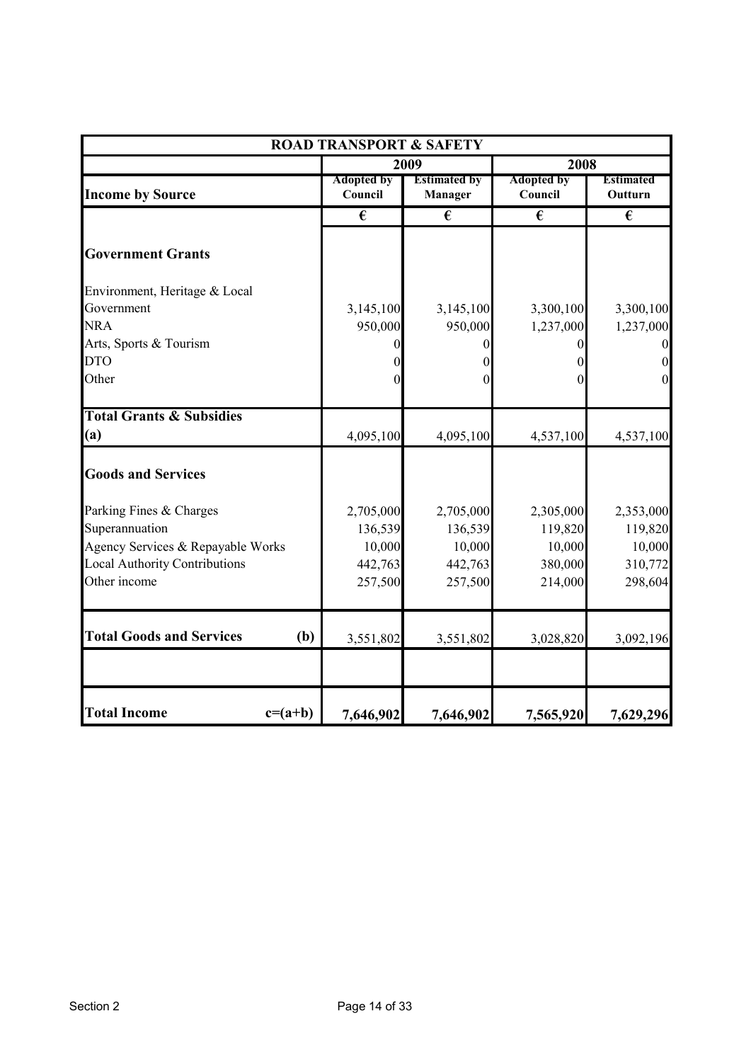| <b>ROAD TRANSPORT &amp; SAFETY</b>     |                              |                                |                              |                             |  |  |
|----------------------------------------|------------------------------|--------------------------------|------------------------------|-----------------------------|--|--|
|                                        |                              | 2009                           | 2008                         |                             |  |  |
| <b>Income by Source</b>                | <b>Adopted by</b><br>Council | <b>Estimated by</b><br>Manager | <b>Adopted by</b><br>Council | <b>Estimated</b><br>Outturn |  |  |
|                                        | €                            | €                              | €                            | €                           |  |  |
| <b>Government Grants</b>               |                              |                                |                              |                             |  |  |
| Environment, Heritage & Local          |                              |                                |                              |                             |  |  |
| Government                             | 3,145,100                    | 3,145,100                      | 3,300,100                    | 3,300,100                   |  |  |
| <b>NRA</b>                             | 950,000                      | 950,000                        | 1,237,000                    | 1,237,000                   |  |  |
| Arts, Sports & Tourism                 |                              | 0                              |                              | $\boldsymbol{0}$            |  |  |
| <b>DTO</b>                             |                              | 0                              |                              | $\mathbf{0}$                |  |  |
| Other                                  | 0                            | 0                              | $\theta$                     | $\boldsymbol{0}$            |  |  |
| <b>Total Grants &amp; Subsidies</b>    |                              |                                |                              |                             |  |  |
| (a)                                    | 4,095,100                    | 4,095,100                      | 4,537,100                    | 4,537,100                   |  |  |
| <b>Goods and Services</b>              |                              |                                |                              |                             |  |  |
| Parking Fines & Charges                | 2,705,000                    | 2,705,000                      | 2,305,000                    | 2,353,000                   |  |  |
| Superannuation                         | 136,539                      | 136,539                        | 119,820                      | 119,820                     |  |  |
| Agency Services & Repayable Works      | 10,000                       | 10,000                         | 10,000                       | 10,000                      |  |  |
| <b>Local Authority Contributions</b>   | 442,763                      | 442,763                        | 380,000                      | 310,772                     |  |  |
| Other income                           | 257,500                      | 257,500                        | 214,000                      | 298,604                     |  |  |
| <b>Total Goods and Services</b><br>(b) | 3,551,802                    | 3,551,802                      | 3,028,820                    | 3,092,196                   |  |  |
|                                        |                              |                                |                              |                             |  |  |
| <b>Total Income</b><br>$c=(a+b)$       | 7,646,902                    | 7,646,902                      | 7,565,920                    | 7,629,296                   |  |  |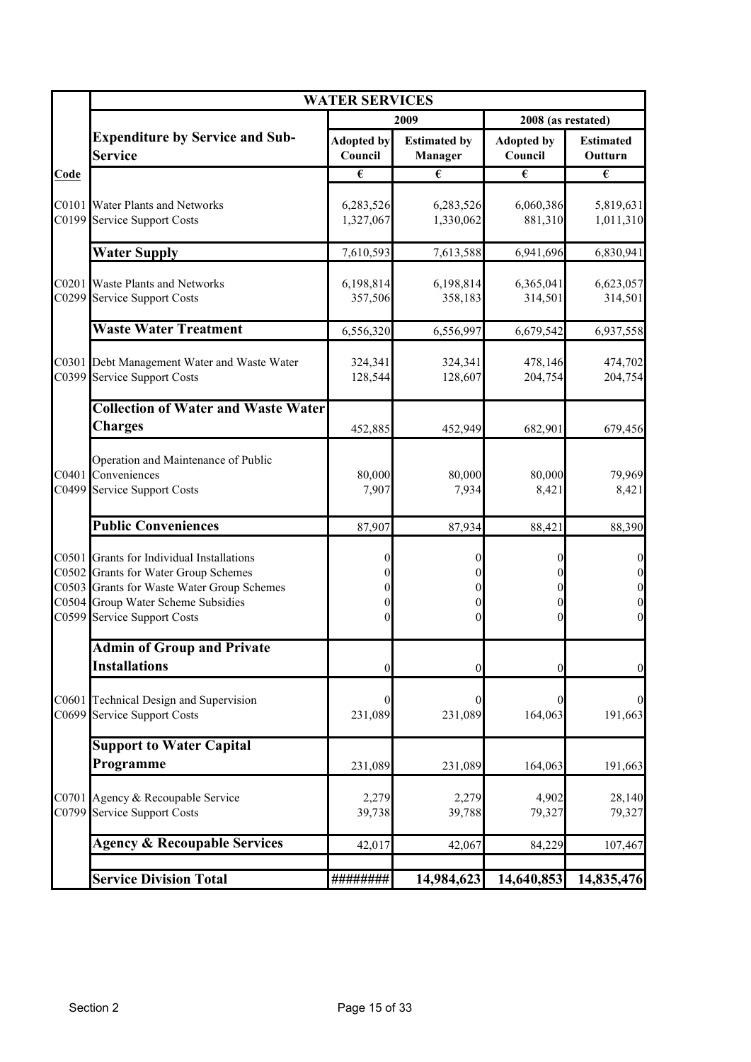|             | <b>WATER SERVICES</b>                                                                                                                                                                                |                                                                                              |                                       |                              |                                                                                        |
|-------------|------------------------------------------------------------------------------------------------------------------------------------------------------------------------------------------------------|----------------------------------------------------------------------------------------------|---------------------------------------|------------------------------|----------------------------------------------------------------------------------------|
|             |                                                                                                                                                                                                      |                                                                                              | 2009                                  | 2008 (as restated)           |                                                                                        |
|             | <b>Expenditure by Service and Sub-</b><br><b>Service</b>                                                                                                                                             | <b>Adopted by</b><br>Council                                                                 | <b>Estimated by</b><br><b>Manager</b> | <b>Adopted by</b><br>Council | <b>Estimated</b><br>Outturn                                                            |
| <b>Code</b> |                                                                                                                                                                                                      | $\overline{\epsilon}$                                                                        | $\overline{\epsilon}$                 | $\overline{\epsilon}$        | $\overline{\epsilon}$                                                                  |
|             | C0101 Water Plants and Networks<br>C0199 Service Support Costs                                                                                                                                       | 6,283,526<br>1,327,067                                                                       | 6,283,526<br>1,330,062                | 6,060,386<br>881,310         | 5,819,631<br>1,011,310                                                                 |
|             | <b>Water Supply</b>                                                                                                                                                                                  | 7,610,593                                                                                    | 7,613,588                             | 6,941,696                    | 6,830,941                                                                              |
|             | C0201 Waste Plants and Networks<br>C0299 Service Support Costs                                                                                                                                       | 6,198,814<br>357,506                                                                         | 6,198,814<br>358,183                  | 6,365,041<br>314,501         | 6,623,057<br>314,501                                                                   |
|             | <b>Waste Water Treatment</b>                                                                                                                                                                         | 6,556,320                                                                                    | 6,556,997                             | 6,679,542                    | 6,937,558                                                                              |
|             | C0301 Debt Management Water and Waste Water<br>C0399 Service Support Costs                                                                                                                           | 324,341<br>128,544                                                                           | 324,341<br>128,607                    | 478,146<br>204,754           | 474,702<br>204,754                                                                     |
|             | <b>Collection of Water and Waste Water</b><br><b>Charges</b>                                                                                                                                         | 452,885                                                                                      | 452,949                               | 682,901                      | 679,456                                                                                |
|             | Operation and Maintenance of Public<br>C0401 Conveniences<br>C0499 Service Support Costs                                                                                                             | 80,000<br>7,907                                                                              | 80,000<br>7,934                       | 80,000<br>8,421              | 79,969<br>8,421                                                                        |
|             | <b>Public Conveniences</b>                                                                                                                                                                           | 87,907                                                                                       | 87,934                                | 88,421                       | 88,390                                                                                 |
|             | C0501 Grants for Individual Installations<br>C0502 Grants for Water Group Schemes<br>C0503 Grants for Waste Water Group Schemes<br>C0504 Group Water Scheme Subsidies<br>C0599 Service Support Costs | $\boldsymbol{0}$<br>$\overline{0}$<br>$\overline{0}$<br>$\boldsymbol{0}$<br>$\boldsymbol{0}$ | 0<br>0<br>0<br>$\theta$               | 0<br>0<br>0<br>$\Omega$      | $\boldsymbol{0}$<br>$\mathbf{0}$<br>$\mathbf{0}$<br>$\boldsymbol{0}$<br>$\overline{0}$ |
|             | <b>Admin of Group and Private</b>                                                                                                                                                                    |                                                                                              |                                       |                              |                                                                                        |
|             | <b>Installations</b>                                                                                                                                                                                 | $\boldsymbol{0}$                                                                             | $\overline{0}$                        | 0                            | $\boldsymbol{0}$                                                                       |
|             | C0601 Technical Design and Supervision<br>C0699 Service Support Costs                                                                                                                                | $\theta$<br>231,089                                                                          | 231,089                               | 164,063                      | $\boldsymbol{0}$<br>191,663                                                            |
|             | <b>Support to Water Capital</b>                                                                                                                                                                      |                                                                                              |                                       |                              |                                                                                        |
|             | Programme                                                                                                                                                                                            | 231,089                                                                                      | 231,089                               | 164,063                      | 191,663                                                                                |
|             | C0701 Agency & Recoupable Service<br>C0799 Service Support Costs                                                                                                                                     | 2,279<br>39,738                                                                              | 2,279<br>39,788                       | 4,902<br>79,327              | 28,140<br>79,327                                                                       |
|             | <b>Agency &amp; Recoupable Services</b>                                                                                                                                                              | 42,017                                                                                       | 42,067                                | 84,229                       | 107,467                                                                                |
|             | <b>Service Division Total</b>                                                                                                                                                                        | ########                                                                                     | 14,984,623                            | 14,640,853                   | 14,835,476                                                                             |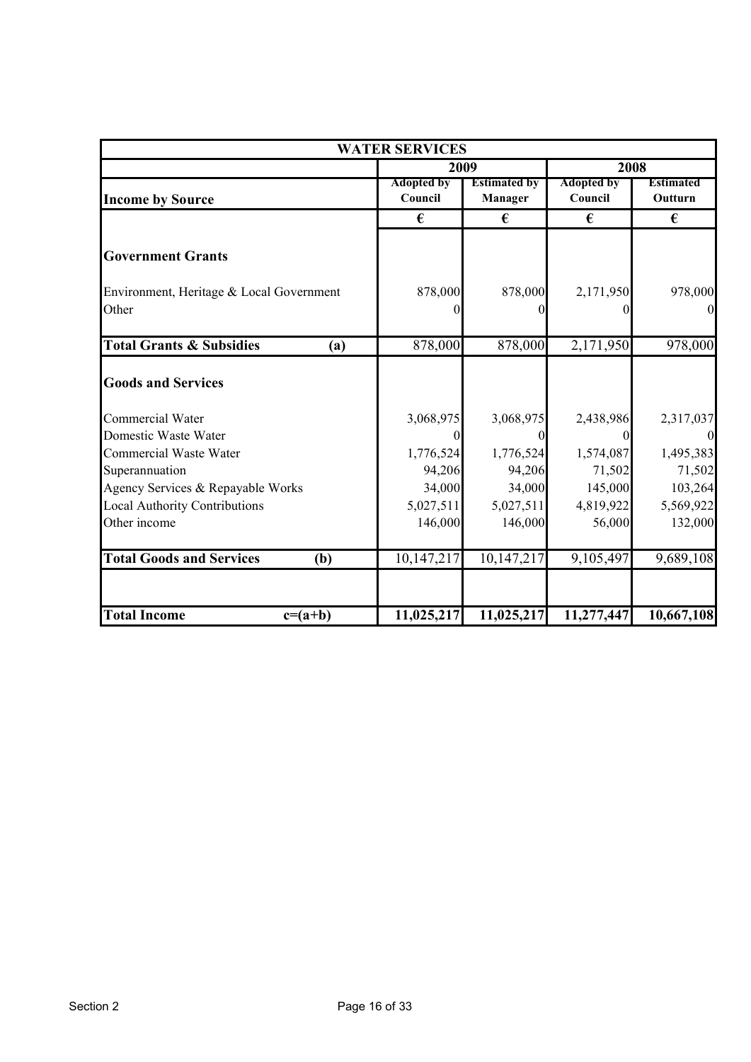| <b>WATER SERVICES</b>                      |                              |                                |                              |                             |  |
|--------------------------------------------|------------------------------|--------------------------------|------------------------------|-----------------------------|--|
|                                            |                              | 2009                           |                              | 2008                        |  |
| <b>Income by Source</b>                    | <b>Adopted by</b><br>Council | <b>Estimated by</b><br>Manager | <b>Adopted by</b><br>Council | <b>Estimated</b><br>Outturn |  |
|                                            | €                            | €                              | €                            | €                           |  |
| <b>Government Grants</b>                   |                              |                                |                              |                             |  |
| Environment, Heritage & Local Government   | 878,000                      | 878,000                        | 2,171,950                    | 978,000                     |  |
| Other                                      | $\Omega$                     | 0                              | $\Omega$                     | $\overline{0}$              |  |
| <b>Total Grants &amp; Subsidies</b><br>(a) | 878,000                      | 878,000                        | 2,171,950                    | 978,000                     |  |
| <b>Goods and Services</b>                  |                              |                                |                              |                             |  |
| <b>Commercial Water</b>                    | 3,068,975                    | 3,068,975                      | 2,438,986                    | 2,317,037                   |  |
| Domestic Waste Water                       | $\theta$                     | $\theta$                       | $\theta$                     | $\overline{0}$              |  |
| <b>Commercial Waste Water</b>              | 1,776,524                    | 1,776,524                      | 1,574,087                    | 1,495,383                   |  |
| Superannuation                             | 94,206                       | 94,206                         | 71,502                       | 71,502                      |  |
| Agency Services & Repayable Works          | 34,000                       | 34,000                         | 145,000                      | 103,264                     |  |
| <b>Local Authority Contributions</b>       | 5,027,511                    | 5,027,511                      | 4,819,922                    | 5,569,922                   |  |
| Other income                               | 146,000                      | 146,000                        | 56,000                       | 132,000                     |  |
| <b>Total Goods and Services</b><br>(b)     | 10,147,217                   | 10,147,217                     | 9,105,497                    | 9,689,108                   |  |
|                                            |                              |                                |                              |                             |  |
| <b>Total Income</b><br>$c=(a+b)$           | 11,025,217                   | 11,025,217                     | 11,277,447                   | 10,667,108                  |  |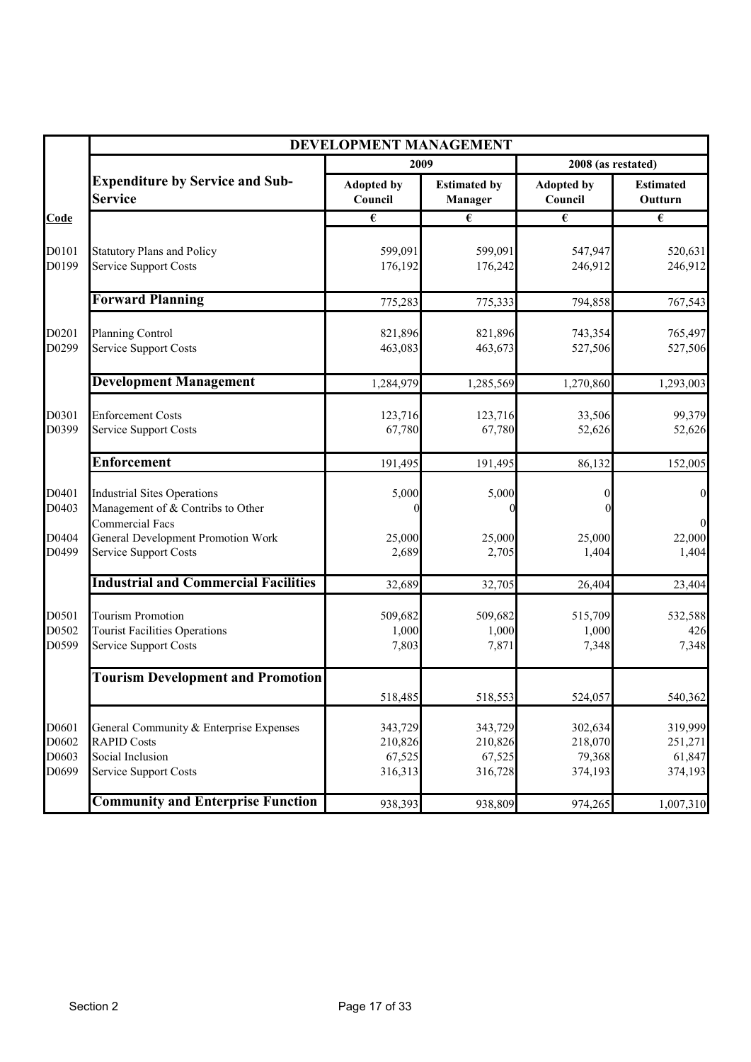|                                  | DEVELOPMENT MANAGEMENT                                                                                                                                           |                                                    |                                                    |                                                    |                                                       |  |
|----------------------------------|------------------------------------------------------------------------------------------------------------------------------------------------------------------|----------------------------------------------------|----------------------------------------------------|----------------------------------------------------|-------------------------------------------------------|--|
|                                  |                                                                                                                                                                  | 2009                                               |                                                    | 2008 (as restated)                                 |                                                       |  |
|                                  | <b>Expenditure by Service and Sub-</b><br><b>Service</b>                                                                                                         | <b>Adopted by</b><br>Council                       | <b>Estimated by</b><br>Manager                     | <b>Adopted by</b><br>Council                       | <b>Estimated</b><br>Outturn                           |  |
| Code                             |                                                                                                                                                                  | $\overline{\epsilon}$                              | $\overline{\epsilon}$                              | $\overline{\epsilon}$                              | $\overline{\epsilon}$                                 |  |
| D0101<br>D0199                   | <b>Statutory Plans and Policy</b><br><b>Service Support Costs</b>                                                                                                | 599,091<br>176,192                                 | 599,091<br>176,242                                 | 547,947<br>246,912                                 | 520,631<br>246,912                                    |  |
|                                  | <b>Forward Planning</b>                                                                                                                                          | 775,283                                            | 775,333                                            | 794,858                                            | 767,543                                               |  |
| D0201<br>D0299                   | <b>Planning Control</b><br><b>Service Support Costs</b>                                                                                                          | 821,896<br>463,083                                 | 821,896<br>463,673                                 | 743,354<br>527,506                                 | 765,497<br>527,506                                    |  |
|                                  | <b>Development Management</b>                                                                                                                                    | 1,284,979                                          | 1,285,569                                          | 1,270,860                                          | 1,293,003                                             |  |
| D0301<br>D0399                   | <b>Enforcement Costs</b><br><b>Service Support Costs</b>                                                                                                         | 123,716<br>67,780                                  | 123,716<br>67,780                                  | 33,506<br>52,626                                   | 99,379<br>52,626                                      |  |
|                                  | <b>Enforcement</b>                                                                                                                                               | 191,495                                            | 191,495                                            | 86,132                                             | 152,005                                               |  |
| D0401<br>D0403<br>D0404<br>D0499 | <b>Industrial Sites Operations</b><br>Management of & Contribs to Other<br><b>Commercial Facs</b><br>General Development Promotion Work<br>Service Support Costs | 5,000<br>25,000<br>2,689                           | 5,000<br>25,000<br>2,705                           | 25,000<br>1,404                                    | $\boldsymbol{0}$<br>$\overline{0}$<br>22,000<br>1,404 |  |
|                                  | <b>Industrial and Commercial Facilities</b>                                                                                                                      | 32,689                                             | 32,705                                             | 26,404                                             | 23,404                                                |  |
| D0501<br>D0502<br>D0599          | <b>Tourism Promotion</b><br><b>Tourist Facilities Operations</b><br>Service Support Costs                                                                        | 509,682<br>1,000<br>7,803                          | 509,682<br>1,000<br>7,871                          | 515,709<br>1,000<br>7,348                          | 532,588<br>426<br>7,348                               |  |
|                                  | <b>Tourism Development and Promotion</b>                                                                                                                         |                                                    |                                                    |                                                    |                                                       |  |
| D0601<br>D0602<br>D0603<br>D0699 | General Community & Enterprise Expenses<br><b>RAPID Costs</b><br>Social Inclusion<br><b>Service Support Costs</b>                                                | 518,485<br>343,729<br>210,826<br>67,525<br>316,313 | 518,553<br>343,729<br>210,826<br>67,525<br>316,728 | 524,057<br>302,634<br>218,070<br>79,368<br>374,193 | 540,362<br>319,999<br>251,271<br>61,847<br>374,193    |  |
|                                  | <b>Community and Enterprise Function</b>                                                                                                                         | 938,393                                            | 938,809                                            | 974,265                                            | 1,007,310                                             |  |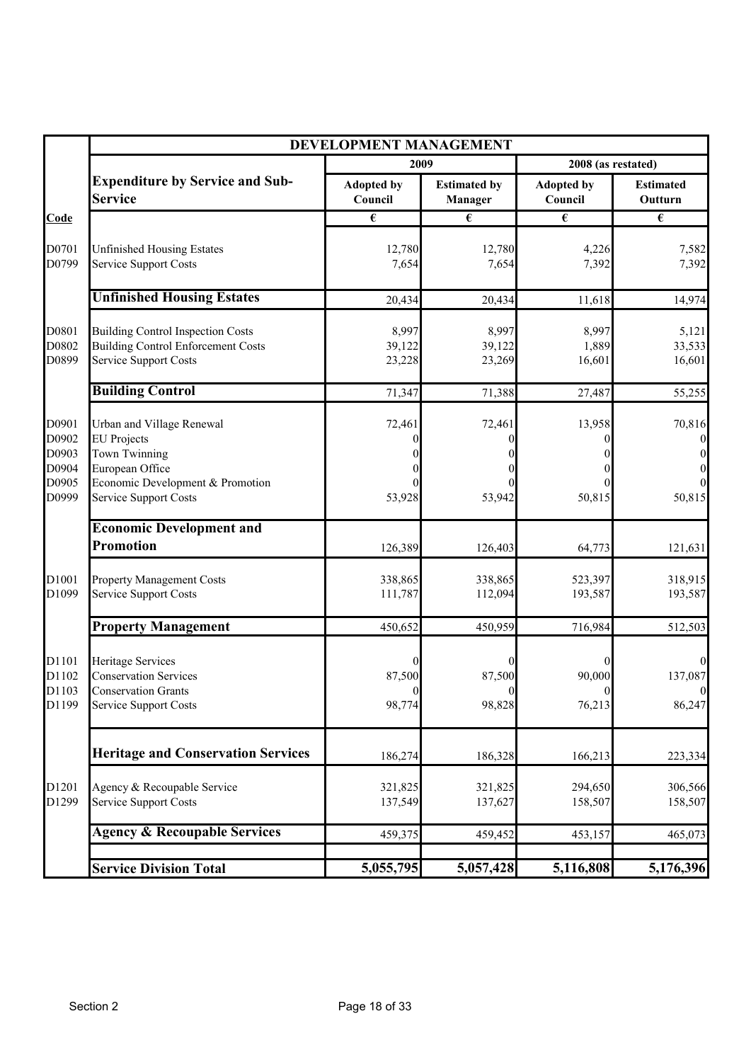|                | DEVELOPMENT MANAGEMENT                                     |                              |                                |                              |                             |
|----------------|------------------------------------------------------------|------------------------------|--------------------------------|------------------------------|-----------------------------|
|                |                                                            | 2009                         |                                | 2008 (as restated)           |                             |
|                | <b>Expenditure by Service and Sub-</b><br><b>Service</b>   | <b>Adopted by</b><br>Council | <b>Estimated by</b><br>Manager | <b>Adopted by</b><br>Council | <b>Estimated</b><br>Outturn |
| Code           |                                                            | $\overline{\epsilon}$        | $\overline{\epsilon}$          | $\overline{\epsilon}$        | $\overline{\epsilon}$       |
|                |                                                            |                              |                                |                              |                             |
| D0701<br>D0799 | <b>Unfinished Housing Estates</b><br>Service Support Costs | 12,780<br>7,654              | 12,780<br>7,654                | 4,226<br>7,392               | 7,582<br>7,392              |
|                |                                                            |                              |                                |                              |                             |
|                | <b>Unfinished Housing Estates</b>                          | 20,434                       | 20,434                         | 11,618                       | 14,974                      |
| D0801          | <b>Building Control Inspection Costs</b>                   | 8,997                        | 8,997                          | 8,997                        | 5,121                       |
| D0802          | <b>Building Control Enforcement Costs</b>                  | 39,122                       | 39,122                         | 1,889                        | 33,533                      |
| D0899          | <b>Service Support Costs</b>                               | 23,228                       | 23,269                         | 16,601                       | 16,601                      |
|                | <b>Building Control</b>                                    | 71,347                       | 71,388                         | 27,487                       | 55,255                      |
| D0901          | Urban and Village Renewal                                  |                              |                                | 13,958                       | 70,816                      |
| D0902          | <b>EU</b> Projects                                         | 72,461                       | 72,461                         |                              |                             |
| D0903          | Town Twinning                                              |                              |                                |                              |                             |
| D0904          | European Office                                            |                              |                                |                              |                             |
| D0905          | Economic Development & Promotion                           |                              |                                |                              |                             |
| D0999          | Service Support Costs                                      | 53,928                       | 53,942                         | 50,815                       | 50,815                      |
|                | <b>Economic Development and</b>                            |                              |                                |                              |                             |
|                | <b>Promotion</b>                                           | 126,389                      | 126,403                        | 64,773                       | 121,631                     |
| D1001          | <b>Property Management Costs</b>                           | 338,865                      | 338,865                        | 523,397                      | 318,915                     |
| D1099          | <b>Service Support Costs</b>                               | 111,787                      | 112,094                        | 193,587                      | 193,587                     |
|                |                                                            |                              |                                |                              |                             |
|                | <b>Property Management</b>                                 | 450,652                      | 450,959                        | 716,984                      | 512,503                     |
| D1101          | Heritage Services                                          |                              |                                |                              |                             |
| D1102          | <b>Conservation Services</b>                               | 87,500                       | 87,500                         | 90,000                       | 137,087                     |
| D1103          | <b>Conservation Grants</b>                                 | $\overline{0}$               | $\boldsymbol{0}$               | $\boldsymbol{0}$             | $\boldsymbol{0}$            |
| D1199          | <b>Service Support Costs</b>                               | 98,774                       | 98,828                         | 76,213                       | 86,247                      |
|                | <b>Heritage and Conservation Services</b>                  |                              |                                |                              |                             |
|                |                                                            | 186,274                      | 186,328                        | 166,213                      | 223,334                     |
| D1201          | Agency & Recoupable Service                                | 321,825                      | 321,825                        | 294,650                      | 306,566                     |
| D1299          | <b>Service Support Costs</b>                               | 137,549                      | 137,627                        | 158,507                      | 158,507                     |
|                | <b>Agency &amp; Recoupable Services</b>                    | 459,375                      | 459,452                        | 453,157                      | 465,073                     |
|                |                                                            |                              |                                |                              |                             |
|                | <b>Service Division Total</b>                              | 5,055,795                    | 5,057,428                      | 5,116,808                    | 5,176,396                   |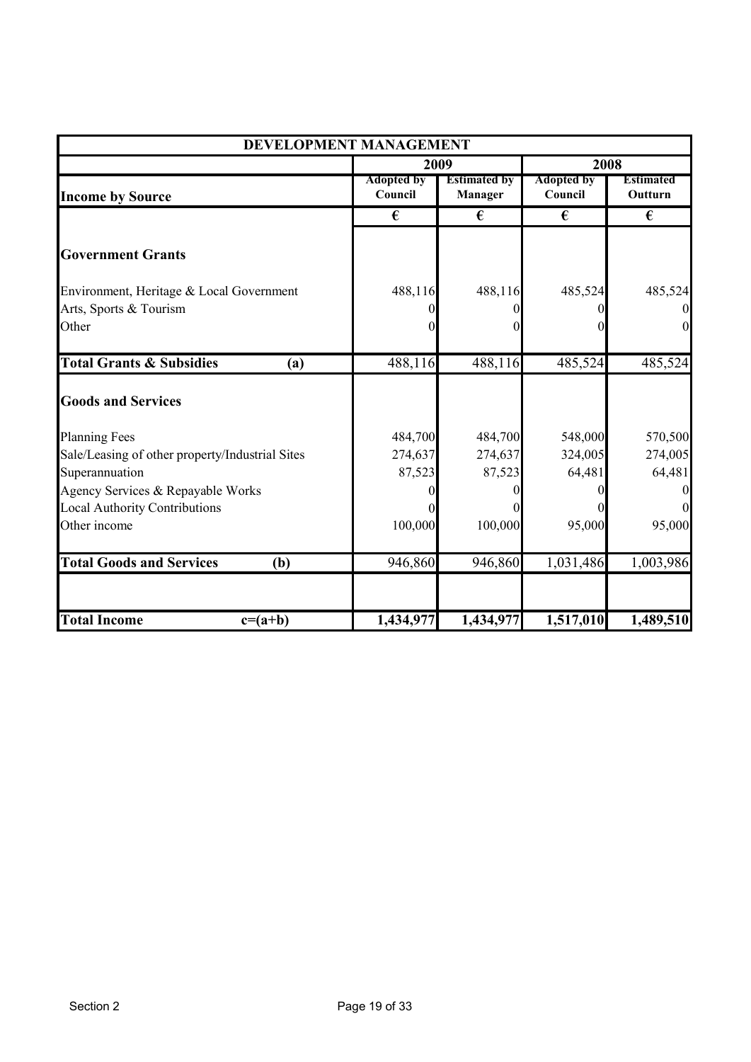| DEVELOPMENT MANAGEMENT                          |                              |                                |                              |                             |  |
|-------------------------------------------------|------------------------------|--------------------------------|------------------------------|-----------------------------|--|
|                                                 | 2009                         |                                | 2008                         |                             |  |
| <b>Income by Source</b>                         | <b>Adopted by</b><br>Council | <b>Estimated by</b><br>Manager | <b>Adopted by</b><br>Council | <b>Estimated</b><br>Outturn |  |
|                                                 | €                            | €                              | €                            | €                           |  |
| <b>Government Grants</b>                        |                              |                                |                              |                             |  |
| Environment, Heritage & Local Government        | 488,116                      | 488,116                        | 485,524                      | 485,524                     |  |
| Arts, Sports & Tourism                          |                              |                                |                              |                             |  |
| Other                                           | 0                            |                                |                              | $\overline{0}$              |  |
| <b>Total Grants &amp; Subsidies</b><br>(a)      | 488,116                      | 488,116                        | 485,524                      | 485,524                     |  |
| <b>Goods and Services</b>                       |                              |                                |                              |                             |  |
| <b>Planning Fees</b>                            | 484,700                      | 484,700                        | 548,000                      | 570,500                     |  |
| Sale/Leasing of other property/Industrial Sites | 274,637                      | 274,637                        | 324,005                      | 274,005                     |  |
| Superannuation                                  | 87,523                       | 87,523                         | 64,481                       | 64,481                      |  |
| Agency Services & Repayable Works               |                              |                                |                              | $\bf{0}$                    |  |
| <b>Local Authority Contributions</b>            |                              |                                |                              |                             |  |
| Other income                                    | 100,000                      | 100,000                        | 95,000                       | 95,000                      |  |
| <b>Total Goods and Services</b><br>(b)          | 946,860                      | 946,860                        | 1,031,486                    | 1,003,986                   |  |
| <b>Total Income</b><br>$c=(a+b)$                | 1,434,977                    | 1,434,977                      | 1,517,010                    | 1,489,510                   |  |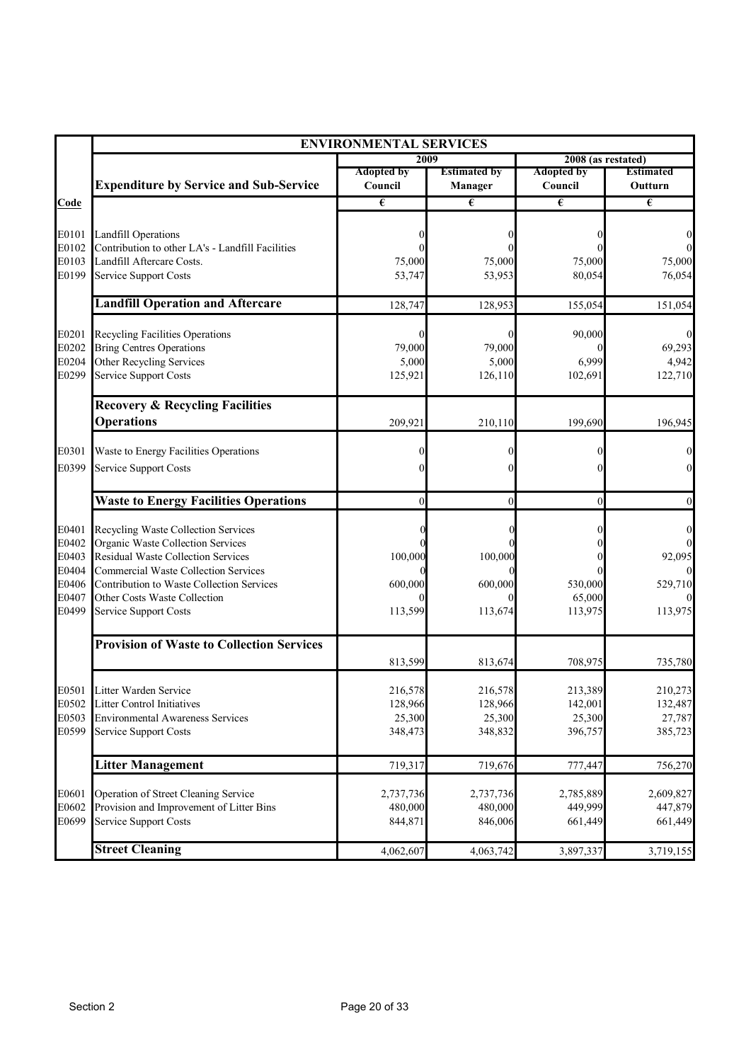|                | <b>ENVIRONMENTAL SERVICES</b>                                                  |                   |                     |                    |                   |  |
|----------------|--------------------------------------------------------------------------------|-------------------|---------------------|--------------------|-------------------|--|
|                |                                                                                | 2009              |                     | 2008 (as restated) |                   |  |
|                |                                                                                | <b>Adopted by</b> | <b>Estimated by</b> | <b>Adopted by</b>  | <b>Estimated</b>  |  |
|                | <b>Expenditure by Service and Sub-Service</b>                                  | Council           | <b>Manager</b>      | Council            | Outturn           |  |
| Code           |                                                                                | €                 | €                   | €                  | €                 |  |
| E0101          |                                                                                |                   |                     |                    |                   |  |
| E0102          | <b>Landfill Operations</b><br>Contribution to other LA's - Landfill Facilities |                   |                     |                    |                   |  |
| E0103          | Landfill Aftercare Costs.                                                      | 75,000            | 75,000              | 75,000             | 75,000            |  |
| E0199          | <b>Service Support Costs</b>                                                   | 53,747            | 53,953              | 80,054             | 76,054            |  |
|                | <b>Landfill Operation and Aftercare</b>                                        | 128,747           | 128,953             | 155,054            | 151,054           |  |
| E0201          | <b>Recycling Facilities Operations</b>                                         |                   |                     | 90,000             |                   |  |
| E0202          | <b>Bring Centres Operations</b>                                                | 79,000            | 79,000              |                    | 69,293            |  |
| E0204          | Other Recycling Services                                                       | 5,000             | 5,000               | 6,999              | 4,942             |  |
| E0299          | Service Support Costs                                                          | 125,921           | 126,110             | 102,691            | 122,710           |  |
|                | <b>Recovery &amp; Recycling Facilities</b>                                     |                   |                     |                    |                   |  |
|                | <b>Operations</b>                                                              | 209,921           | 210,110             | 199,690            | 196,945           |  |
| E0301          | Waste to Energy Facilities Operations                                          |                   |                     |                    |                   |  |
| E0399          | <b>Service Support Costs</b>                                                   |                   |                     |                    |                   |  |
|                |                                                                                |                   |                     |                    |                   |  |
|                | <b>Waste to Energy Facilities Operations</b>                                   | $\theta$          | $\theta$            | $\theta$           |                   |  |
| E0401          | Recycling Waste Collection Services                                            |                   |                     |                    |                   |  |
| E0402          | Organic Waste Collection Services                                              |                   |                     |                    |                   |  |
| E0403          | <b>Residual Waste Collection Services</b>                                      | 100,000           | 100,000             |                    | 92,095            |  |
| E0404          | <b>Commercial Waste Collection Services</b>                                    |                   |                     |                    |                   |  |
| E0406<br>E0407 | Contribution to Waste Collection Services<br>Other Costs Waste Collection      | 600,000           | 600,000             | 530,000<br>65,000  | 529,710           |  |
| E0499          | Service Support Costs                                                          | 113,599           | 113,674             | 113,975            | 113,975           |  |
|                | <b>Provision of Waste to Collection Services</b>                               |                   |                     |                    |                   |  |
|                |                                                                                | 813,599           | 813,674             | 708,975            | 735,780           |  |
|                |                                                                                |                   |                     |                    |                   |  |
|                | E0501 Litter Warden Service                                                    | 216,578           | 216,578             | 213,389            | 210,273           |  |
| E0502<br>E0503 | <b>Litter Control Initiatives</b><br><b>Environmental Awareness Services</b>   | 128,966           | 128,966             | 142,001            | 132,487           |  |
| E0599          | Service Support Costs                                                          | 25,300<br>348,473 | 25,300<br>348,832   | 25,300<br>396,757  | 27,787<br>385,723 |  |
|                |                                                                                |                   |                     |                    |                   |  |
|                | <b>Litter Management</b>                                                       | 719,317           | 719,676             | 777,447            | 756,270           |  |
| E0601          | Operation of Street Cleaning Service                                           | 2,737,736         | 2,737,736           | 2,785,889          | 2,609,827         |  |
| E0602          | Provision and Improvement of Litter Bins                                       | 480,000           | 480,000             | 449,999            | 447,879           |  |
| E0699          | Service Support Costs                                                          | 844,871           | 846,006             | 661,449            | 661,449           |  |
|                | <b>Street Cleaning</b>                                                         | 4,062,607         | 4,063,742           | 3,897,337          | 3,719,155         |  |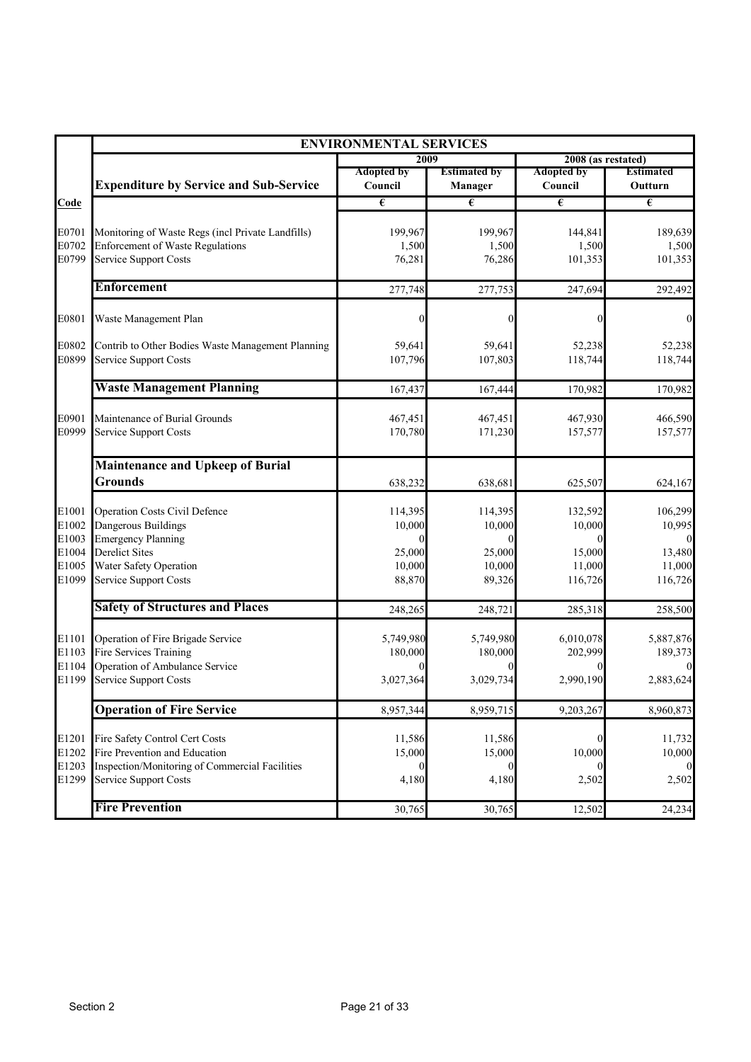|                                                    | <b>ENVIRONMENTAL SERVICES</b>                                                                                                                                        |                                                 |                                                 |                                                  |                                                                    |
|----------------------------------------------------|----------------------------------------------------------------------------------------------------------------------------------------------------------------------|-------------------------------------------------|-------------------------------------------------|--------------------------------------------------|--------------------------------------------------------------------|
|                                                    |                                                                                                                                                                      | 2009                                            |                                                 | 2008 (as restated)                               |                                                                    |
|                                                    | <b>Expenditure by Service and Sub-Service</b>                                                                                                                        | <b>Adopted by</b><br>Council                    | <b>Estimated by</b><br>Manager                  | <b>Adopted by</b><br>Council                     | <b>Estimated</b><br>Outturn                                        |
| Code                                               |                                                                                                                                                                      | €                                               | €                                               | €                                                | $\overline{\epsilon}$                                              |
| E0701<br>E0702<br>E0799                            | Monitoring of Waste Regs (incl Private Landfills)<br><b>Enforcement of Waste Regulations</b><br><b>Service Support Costs</b>                                         | 199,967<br>1,500<br>76,281                      | 199,967<br>1,500<br>76,286                      | 144,841<br>1,500<br>101,353                      | 189,639<br>1,500<br>101,353                                        |
|                                                    | <b>Enforcement</b>                                                                                                                                                   | 277,748                                         | 277,753                                         | 247,694                                          | 292,492                                                            |
| E0801                                              | Waste Management Plan                                                                                                                                                |                                                 | 0                                               |                                                  | $\boldsymbol{0}$                                                   |
| E0802<br>E0899                                     | Contrib to Other Bodies Waste Management Planning<br><b>Service Support Costs</b>                                                                                    | 59,641<br>107,796                               | 59,641<br>107,803                               | 52,238<br>118,744                                | 52,238<br>118,744                                                  |
|                                                    | <b>Waste Management Planning</b>                                                                                                                                     | 167,437                                         | 167,444                                         | 170,982                                          | 170,982                                                            |
| E0901<br>E0999                                     | Maintenance of Burial Grounds<br>Service Support Costs                                                                                                               | 467,451<br>170,780                              | 467,451<br>171,230                              | 467,930<br>157,577                               | 466,590<br>157,577                                                 |
|                                                    | <b>Maintenance and Upkeep of Burial</b><br><b>Grounds</b>                                                                                                            | 638,232                                         | 638,681                                         | 625,507                                          | 624,167                                                            |
| E1001<br>E1002<br>E1003<br>E1004<br>E1005<br>E1099 | <b>Operation Costs Civil Defence</b><br>Dangerous Buildings<br><b>Emergency Planning</b><br><b>Derelict Sites</b><br>Water Safety Operation<br>Service Support Costs | 114,395<br>10,000<br>25,000<br>10,000<br>88,870 | 114,395<br>10,000<br>25,000<br>10,000<br>89,326 | 132,592<br>10,000<br>15,000<br>11,000<br>116,726 | 106,299<br>10,995<br>$\overline{0}$<br>13,480<br>11,000<br>116,726 |
|                                                    | <b>Safety of Structures and Places</b>                                                                                                                               | 248,265                                         | 248,721                                         | 285,318                                          | 258,500                                                            |
| E1101<br>E1103<br>E1104<br>E1199                   | Operation of Fire Brigade Service<br><b>Fire Services Training</b><br>Operation of Ambulance Service<br><b>Service Support Costs</b>                                 | 5,749,980<br>180,000<br>3,027,364               | 5,749,980<br>180,000<br>3,029,734               | 6,010,078<br>202,999<br>2,990,190                | 5,887,876<br>189,373<br>2,883,624                                  |
|                                                    | <b>Operation of Fire Service</b>                                                                                                                                     | 8,957,344                                       | 8,959,715                                       | 9,203,267                                        | 8,960,873                                                          |
| E1201<br>E1202<br>E1203<br>E1299                   | Fire Safety Control Cert Costs<br>Fire Prevention and Education<br>Inspection/Monitoring of Commercial Facilities<br><b>Service Support Costs</b>                    | 11,586<br>15,000<br>$\Omega$<br>4,180           | 11,586<br>15,000<br>$\theta$<br>4,180           | 10,000<br>2,502                                  | 11,732<br>10,000<br>$\overline{0}$<br>2,502                        |
|                                                    | <b>Fire Prevention</b>                                                                                                                                               | 30,765                                          | 30,765                                          | 12,502                                           | 24,234                                                             |
|                                                    |                                                                                                                                                                      |                                                 |                                                 |                                                  |                                                                    |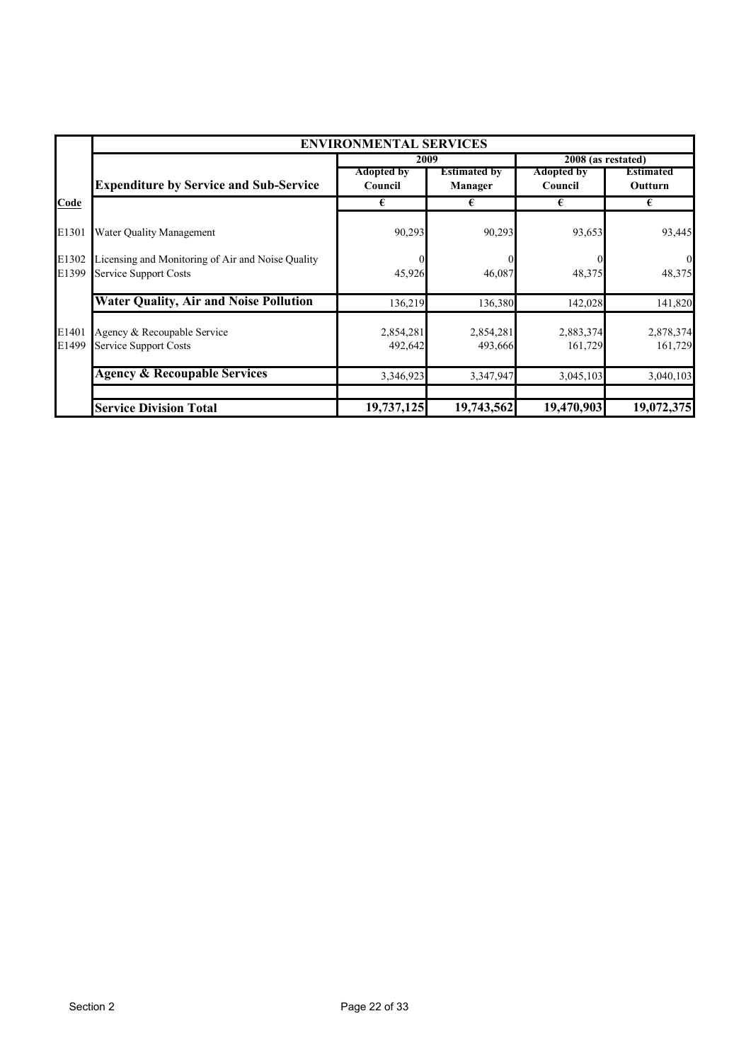|                | <b>ENVIRONMENTAL SERVICES</b>                                                     |                              |                                |                              |                             |  |  |
|----------------|-----------------------------------------------------------------------------------|------------------------------|--------------------------------|------------------------------|-----------------------------|--|--|
|                |                                                                                   | 2009                         |                                | 2008 (as restated)           |                             |  |  |
|                | <b>Expenditure by Service and Sub-Service</b>                                     | <b>Adopted by</b><br>Council | <b>Estimated by</b><br>Manager | <b>Adopted by</b><br>Council | <b>Estimated</b><br>Outturn |  |  |
| Code           |                                                                                   | €                            | €                              | €                            | €                           |  |  |
| E1301          | Water Quality Management                                                          | 90,293                       | 90,293                         | 93,653                       | 93,445                      |  |  |
| E1302<br>E1399 | Licensing and Monitoring of Air and Noise Quality<br><b>Service Support Costs</b> | 45,926                       | 46,087                         | 48,375                       | $\theta$<br>48,375          |  |  |
|                | <b>Water Quality, Air and Noise Pollution</b>                                     | 136,219                      | 136,380                        | 142,028                      | 141,820                     |  |  |
| E1401<br>E1499 | Agency & Recoupable Service<br><b>Service Support Costs</b>                       | 2,854,281<br>492,642         | 2,854,281<br>493,666           | 2,883,374<br>161,729         | 2,878,374<br>161,729        |  |  |
|                | <b>Agency &amp; Recoupable Services</b>                                           | 3,346,923                    | 3,347,947                      | 3,045,103                    | 3,040,103                   |  |  |
|                | <b>Service Division Total</b>                                                     | 19,737,125                   | 19,743,562                     | 19,470,903                   | 19,072,375                  |  |  |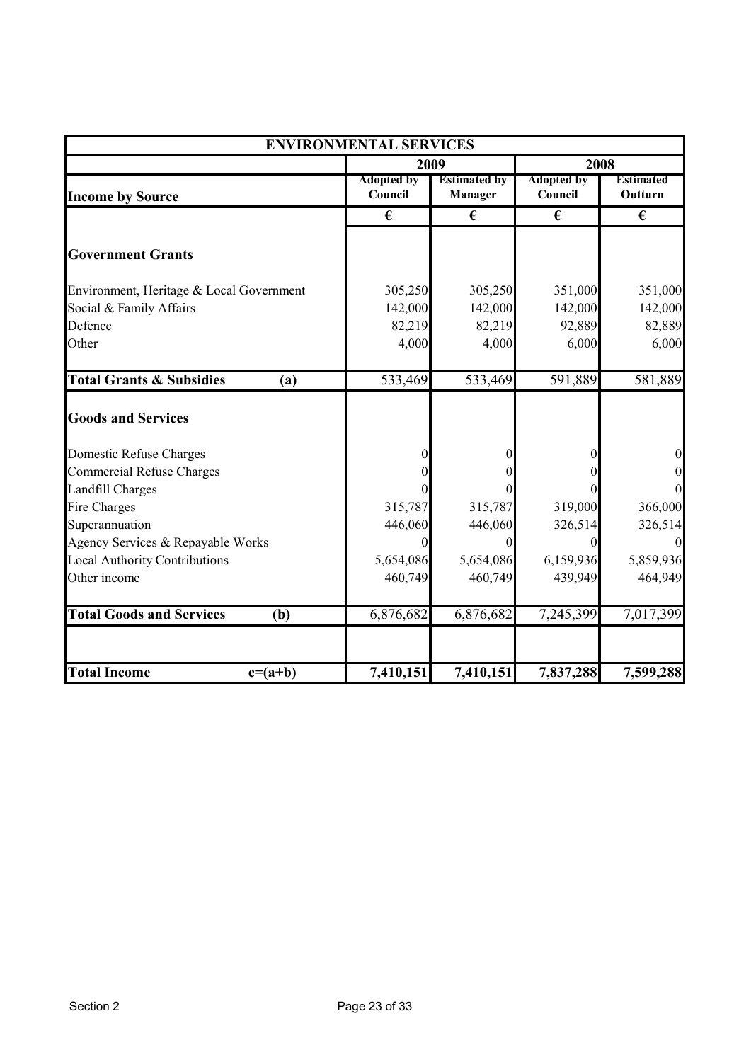|                                            | <b>ENVIRONMENTAL SERVICES</b> |                                |                              |                             |
|--------------------------------------------|-------------------------------|--------------------------------|------------------------------|-----------------------------|
|                                            |                               | 2009                           |                              | 2008                        |
| <b>Income by Source</b>                    | <b>Adopted by</b><br>Council  | <b>Estimated by</b><br>Manager | <b>Adopted by</b><br>Council | <b>Estimated</b><br>Outturn |
|                                            | €                             | €                              | €                            | €                           |
| <b>Government Grants</b>                   |                               |                                |                              |                             |
| Environment, Heritage & Local Government   | 305,250                       | 305,250                        | 351,000                      | 351,000                     |
| Social & Family Affairs                    | 142,000                       | 142,000                        | 142,000                      | 142,000                     |
| Defence                                    | 82,219                        | 82,219                         | 92,889                       | 82,889                      |
| Other                                      | 4,000                         | 4,000                          | 6,000                        | 6,000                       |
| <b>Total Grants &amp; Subsidies</b><br>(a) | 533,469                       | 533,469                        | 591,889                      | 581,889                     |
| <b>Goods and Services</b>                  |                               |                                |                              |                             |
| Domestic Refuse Charges                    |                               |                                | $\Omega$                     | $\boldsymbol{0}$            |
| <b>Commercial Refuse Charges</b>           |                               |                                | $\Omega$                     | $\boldsymbol{0}$            |
| <b>Landfill Charges</b>                    |                               |                                | $\Omega$                     | $\overline{0}$              |
| Fire Charges                               | 315,787                       | 315,787                        | 319,000                      | 366,000                     |
| Superannuation                             | 446,060                       | 446,060                        | 326,514                      | 326,514                     |
| Agency Services & Repayable Works          | 0                             | $\Omega$                       | $\Omega$                     | $\boldsymbol{0}$            |
| <b>Local Authority Contributions</b>       | 5,654,086                     | 5,654,086                      | 6,159,936                    | 5,859,936                   |
| Other income                               | 460,749                       | 460,749                        | 439,949                      | 464,949                     |
| <b>Total Goods and Services</b><br>(b)     | 6,876,682                     | 6,876,682                      | 7,245,399                    | 7,017,399                   |
| <b>Total Income</b><br>$c=(a+b)$           | 7,410,151                     | 7,410,151                      | 7,837,288                    | 7,599,288                   |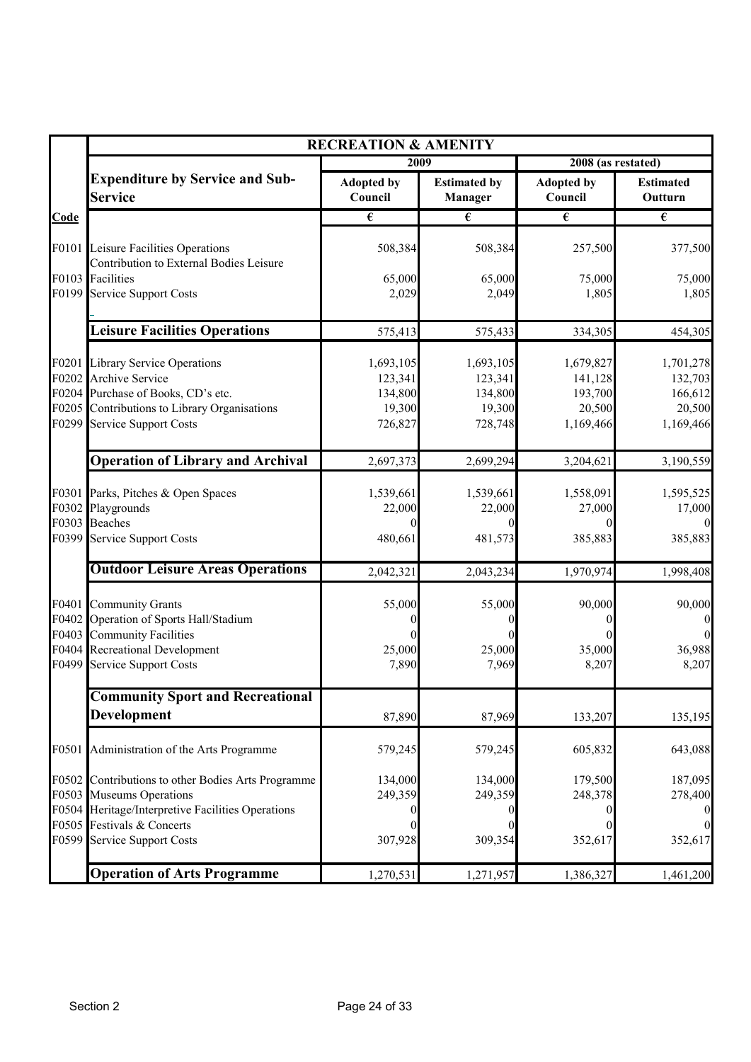|      | <b>RECREATION &amp; AMENITY</b>                                                                                                                                                |                                                      |                                                      |                                                        |                                                        |  |
|------|--------------------------------------------------------------------------------------------------------------------------------------------------------------------------------|------------------------------------------------------|------------------------------------------------------|--------------------------------------------------------|--------------------------------------------------------|--|
|      |                                                                                                                                                                                | 2009                                                 |                                                      | 2008 (as restated)                                     |                                                        |  |
|      | <b>Expenditure by Service and Sub-</b><br><b>Service</b>                                                                                                                       | <b>Adopted by</b><br>Council                         | <b>Estimated by</b><br>Manager                       | <b>Adopted by</b><br>Council                           | <b>Estimated</b><br>Outturn                            |  |
| Code |                                                                                                                                                                                | $\overline{\epsilon}$                                | €                                                    | $\overline{\epsilon}$                                  | $\overline{\epsilon}$                                  |  |
|      | F0101 Leisure Facilities Operations<br>Contribution to External Bodies Leisure                                                                                                 | 508,384                                              | 508,384                                              | 257,500                                                | 377,500                                                |  |
|      | F0103 Facilities<br>F0199 Service Support Costs                                                                                                                                | 65,000<br>2,029                                      | 65,000<br>2,049                                      | 75,000<br>1,805                                        | 75,000<br>1,805                                        |  |
|      | <b>Leisure Facilities Operations</b>                                                                                                                                           | 575,413                                              | 575,433                                              | 334,305                                                | 454,305                                                |  |
|      | F0201 Library Service Operations<br>F0202 Archive Service<br>F0204 Purchase of Books, CD's etc.<br>F0205 Contributions to Library Organisations<br>F0299 Service Support Costs | 1,693,105<br>123,341<br>134,800<br>19,300<br>726,827 | 1,693,105<br>123,341<br>134,800<br>19,300<br>728,748 | 1,679,827<br>141,128<br>193,700<br>20,500<br>1,169,466 | 1,701,278<br>132,703<br>166,612<br>20,500<br>1,169,466 |  |
|      | <b>Operation of Library and Archival</b>                                                                                                                                       | 2,697,373                                            | 2,699,294                                            | 3,204,621                                              | 3,190,559                                              |  |
|      | F0301 Parks, Pitches & Open Spaces<br>F0302 Playgrounds<br>F0303 Beaches                                                                                                       | 1,539,661<br>22,000                                  | 1,539,661<br>22,000                                  | 1,558,091<br>27,000                                    | 1,595,525<br>17,000                                    |  |
|      | F0399 Service Support Costs                                                                                                                                                    | 480,661                                              | 481,573                                              | 385,883                                                | 385,883                                                |  |
|      | <b>Outdoor Leisure Areas Operations</b>                                                                                                                                        | 2,042,321                                            | 2,043,234                                            | 1,970,974                                              | 1,998,408                                              |  |
|      | F0401 Community Grants<br>F0402 Operation of Sports Hall/Stadium<br>F0403 Community Facilities                                                                                 | 55,000                                               | 55,000                                               | 90,000                                                 | 90,000                                                 |  |
|      | F0404 Recreational Development<br>F0499 Service Support Costs                                                                                                                  | 25,000<br>7,890                                      | 25,000<br>7,969                                      | 35,000<br>8,207                                        | 36,988<br>8,207                                        |  |
|      | <b>Community Sport and Recreational</b><br>Development                                                                                                                         | 87,890                                               | 87,969                                               | 133,207                                                | 135,195                                                |  |
|      | F0501 Administration of the Arts Programme                                                                                                                                     | 579,245                                              | 579,245                                              | 605,832                                                | 643,088                                                |  |
|      | F0502 Contributions to other Bodies Arts Programme<br>F0503 Museums Operations<br>F0504 Heritage/Interpretive Facilities Operations                                            | 134,000<br>249,359                                   | 134,000<br>249,359                                   | 179,500<br>248,378                                     | 187,095<br>278,400                                     |  |
|      | F0505 Festivals & Concerts<br>F0599 Service Support Costs                                                                                                                      | 307,928                                              | 309,354                                              | 352,617                                                | 352,617                                                |  |
|      | <b>Operation of Arts Programme</b>                                                                                                                                             | 1,270,531                                            | 1,271,957                                            | 1,386,327                                              | 1,461,200                                              |  |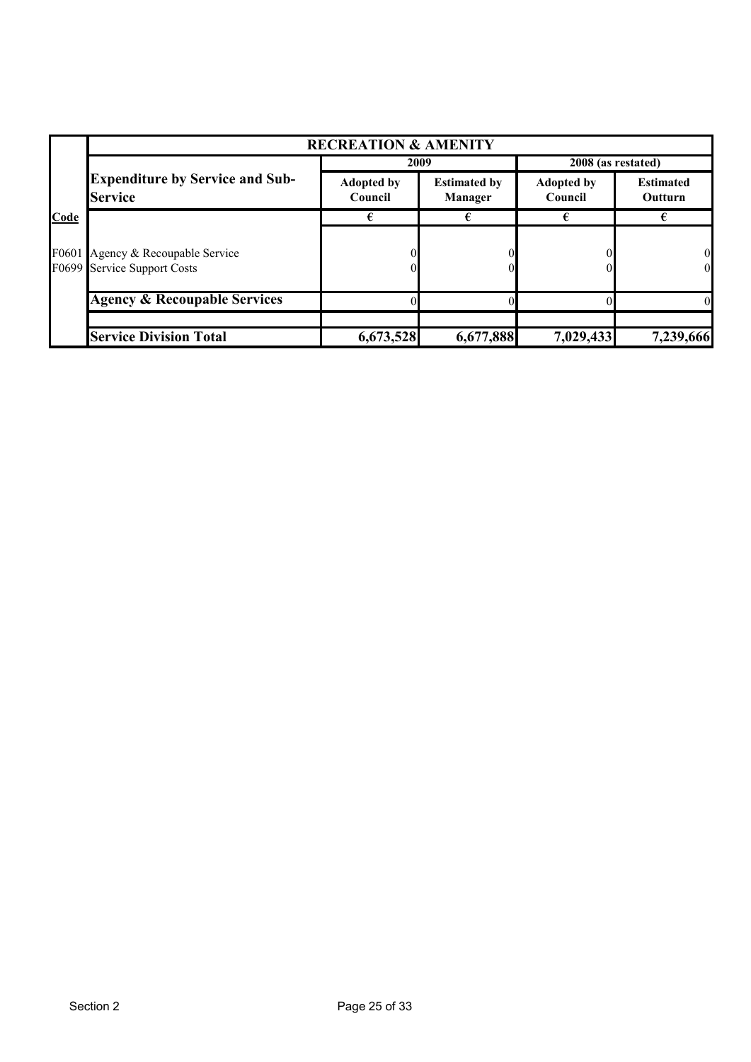|      | <b>RECREATION &amp; AMENITY</b>                                  |                              |                                       |                              |                             |  |  |
|------|------------------------------------------------------------------|------------------------------|---------------------------------------|------------------------------|-----------------------------|--|--|
|      |                                                                  | 2009                         |                                       |                              | 2008 (as restated)          |  |  |
|      | <b>Expenditure by Service and Sub-</b><br><b>Service</b>         | <b>Adopted by</b><br>Council | <b>Estimated by</b><br><b>Manager</b> | <b>Adopted by</b><br>Council | <b>Estimated</b><br>Outturn |  |  |
| Code |                                                                  | €                            |                                       | €                            |                             |  |  |
|      | F0601 Agency & Recoupable Service<br>F0699 Service Support Costs |                              |                                       |                              | 0<br>$\overline{0}$         |  |  |
|      | <b>Agency &amp; Recoupable Services</b>                          |                              |                                       |                              | 0                           |  |  |
|      |                                                                  |                              |                                       |                              |                             |  |  |
|      | <b>Service Division Total</b>                                    | 6,673,528                    | 6,677,888                             | 7,029,433                    | 7,239,666                   |  |  |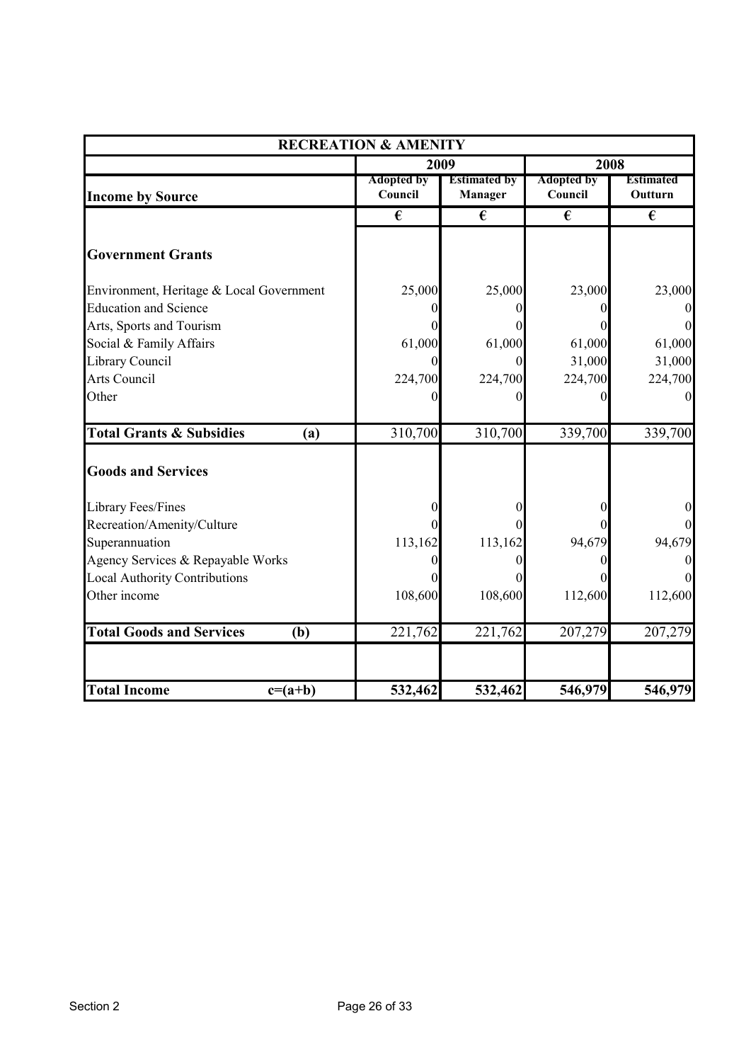| <b>RECREATION &amp; AMENITY</b>            |                              |                                       |                              |                             |
|--------------------------------------------|------------------------------|---------------------------------------|------------------------------|-----------------------------|
|                                            | 2009                         |                                       |                              | <b>2008</b>                 |
| <b>Income by Source</b>                    | <b>Adopted by</b><br>Council | <b>Estimated by</b><br><b>Manager</b> | <b>Adopted by</b><br>Council | <b>Estimated</b><br>Outturn |
|                                            | €                            | €                                     | €                            | €                           |
| <b>Government Grants</b>                   |                              |                                       |                              |                             |
| Environment, Heritage & Local Government   | 25,000                       | 25,000                                | 23,000                       | 23,000                      |
| <b>Education and Science</b>               |                              | 0                                     |                              |                             |
| Arts, Sports and Tourism                   |                              |                                       |                              | $\Omega$                    |
| Social & Family Affairs                    | 61,000                       | 61,000                                | 61,000                       | 61,000                      |
| Library Council                            |                              | $\theta$                              | 31,000                       | 31,000                      |
| Arts Council                               | 224,700                      | 224,700                               | 224,700                      | 224,700                     |
| Other                                      |                              | 0                                     |                              |                             |
| <b>Total Grants &amp; Subsidies</b><br>(a) | 310,700                      | 310,700                               | 339,700                      | 339,700                     |
| <b>Goods and Services</b>                  |                              |                                       |                              |                             |
| Library Fees/Fines                         |                              | 0                                     |                              | 0                           |
| Recreation/Amenity/Culture                 |                              |                                       |                              | $\Omega$                    |
| Superannuation                             | 113,162                      | 113,162                               | 94,679                       | 94,679                      |
| Agency Services & Repayable Works          |                              | 0                                     |                              | $\Omega$                    |
| <b>Local Authority Contributions</b>       |                              |                                       |                              | $\Omega$                    |
| Other income                               | 108,600                      | 108,600                               | 112,600                      | 112,600                     |
| <b>Total Goods and Services</b><br>(b)     | 221,762                      | 221,762                               | 207,279                      | 207,279                     |
| <b>Total Income</b><br>$c=(a+b)$           | 532,462                      | 532,462                               | 546,979                      | 546,979                     |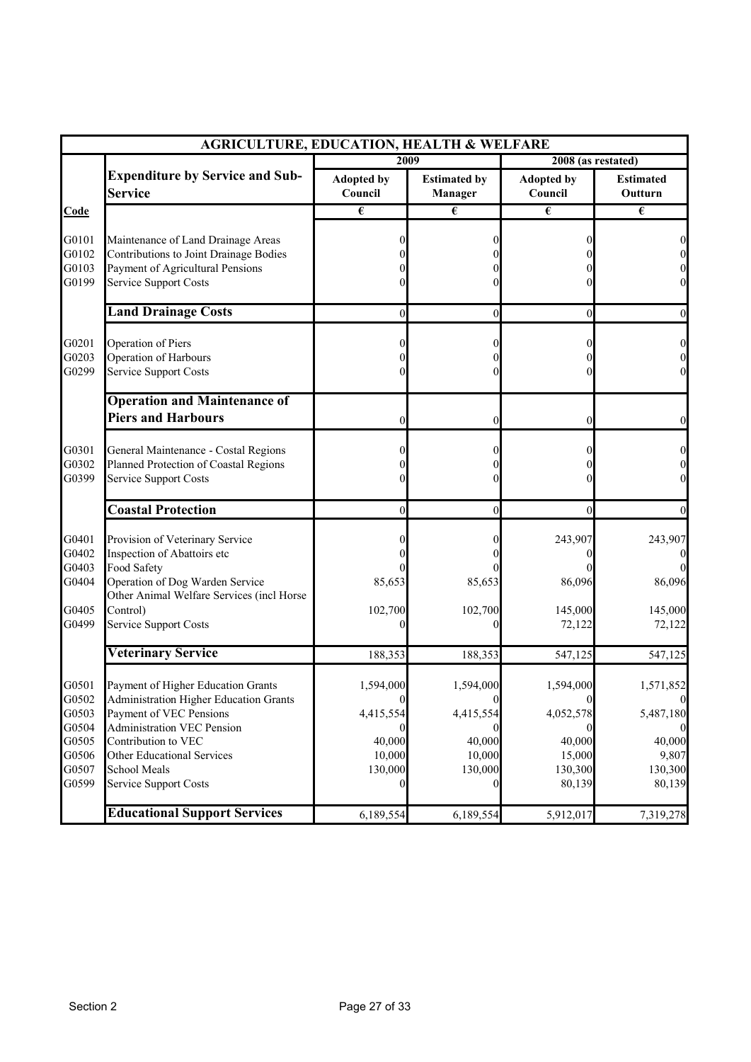|                         | <b>AGRICULTURE, EDUCATION, HEALTH &amp; WELFARE</b>                                                           |                              |                                |                              |                                                          |
|-------------------------|---------------------------------------------------------------------------------------------------------------|------------------------------|--------------------------------|------------------------------|----------------------------------------------------------|
|                         |                                                                                                               | 2009                         |                                | 2008 (as restated)           |                                                          |
|                         | <b>Expenditure by Service and Sub-</b><br><b>Service</b>                                                      | <b>Adopted by</b><br>Council | <b>Estimated by</b><br>Manager | <b>Adopted by</b><br>Council | <b>Estimated</b><br>Outturn                              |
| Code                    |                                                                                                               | €                            | €                              | €                            | €                                                        |
| G0101                   | Maintenance of Land Drainage Areas                                                                            |                              |                                |                              | $\boldsymbol{0}$                                         |
| G0102<br>G0103<br>G0199 | Contributions to Joint Drainage Bodies<br>Payment of Agricultural Pensions<br><b>Service Support Costs</b>    |                              |                                |                              | $\boldsymbol{0}$<br>$\boldsymbol{0}$<br>$\boldsymbol{0}$ |
|                         | <b>Land Drainage Costs</b>                                                                                    | $\theta$                     | $\boldsymbol{0}$               | $\mathbf{0}$                 | $\vert 0 \vert$                                          |
| G0201<br>G0203<br>G0299 | Operation of Piers<br>Operation of Harbours<br><b>Service Support Costs</b>                                   |                              |                                |                              | $\boldsymbol{0}$<br>$\boldsymbol{0}$<br>$\mathbf{0}$     |
|                         | <b>Operation and Maintenance of</b><br><b>Piers and Harbours</b>                                              | $\theta$                     | 0                              |                              | $\vert 0 \vert$                                          |
| G0301<br>G0302<br>G0399 | General Maintenance - Costal Regions<br>Planned Protection of Coastal Regions<br><b>Service Support Costs</b> |                              |                                |                              | $\boldsymbol{0}$<br>$\boldsymbol{0}$<br>$\boldsymbol{0}$ |
|                         | <b>Coastal Protection</b>                                                                                     | $\theta$                     | $\theta$                       |                              | $\boldsymbol{0}$                                         |
| G0401<br>G0402<br>G0403 | Provision of Veterinary Service<br>Inspection of Abattoirs etc<br>Food Safety                                 |                              |                                | 243,907                      | 243,907<br>$\mathbf{0}$<br>$\theta$                      |
| G0404                   | Operation of Dog Warden Service<br>Other Animal Welfare Services (incl Horse                                  | 85,653                       | 85,653                         | 86,096                       | 86,096                                                   |
| G0405<br>G0499          | Control)<br><b>Service Support Costs</b>                                                                      | 102,700                      | 102,700                        | 145,000<br>72,122            | 145,000<br>72,122                                        |
|                         | <b>Veterinary Service</b>                                                                                     | 188,353                      | 188,353                        | 547,125                      | 547,125                                                  |
| G0501<br>G0502          | Payment of Higher Education Grants<br>Administration Higher Education Grants                                  | 1,594,000                    | 1,594,000                      | 1,594,000                    | 1,571,852<br>$\mathbf{0}$                                |
| G0503<br>G0504          | Payment of VEC Pensions<br>Administration VEC Pension                                                         | 4,415,554                    | 4,415,554                      | 4,052,578                    | 5,487,180<br>$\theta$                                    |
| G0505<br>G0506          | Contribution to VEC<br>Other Educational Services                                                             | 40,000<br>10,000             | 40,000<br>10,000               | 40,000<br>15,000             | 40,000<br>9,807                                          |
| G0507<br>G0599          | School Meals<br><b>Service Support Costs</b>                                                                  | 130,000                      | 130,000                        | 130,300<br>80,139            | 130,300<br>80,139                                        |
|                         | <b>Educational Support Services</b>                                                                           | 6,189,554                    | 6,189,554                      | 5,912,017                    | 7,319,278                                                |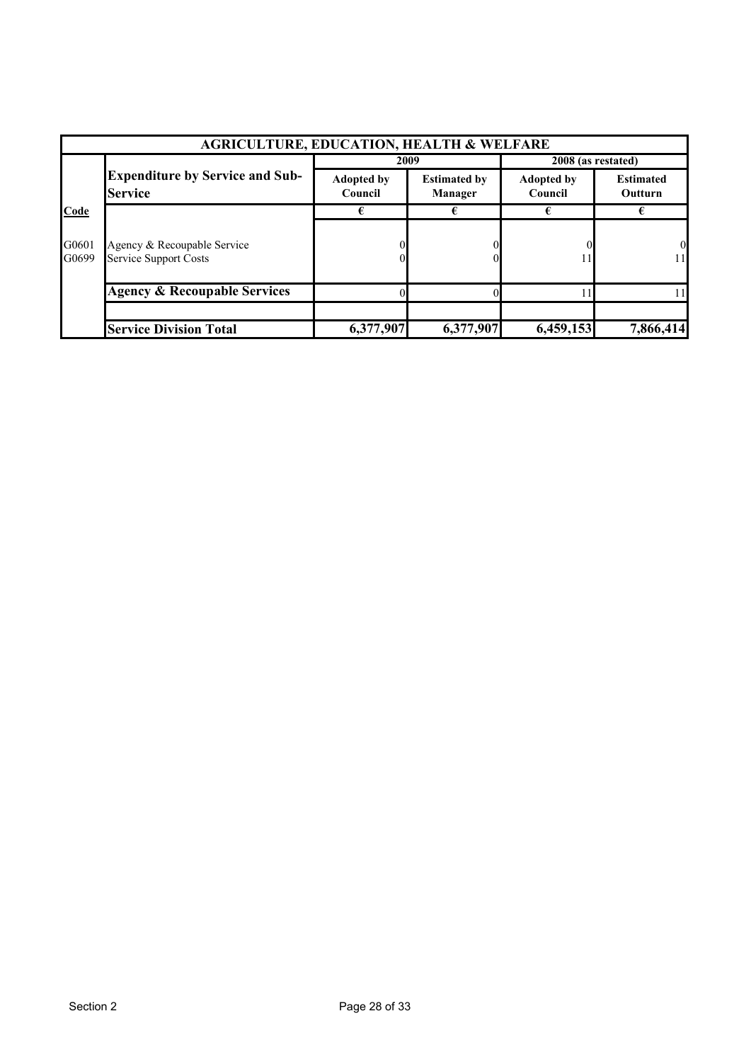|                                                          | <b>AGRICULTURE, EDUCATION, HEALTH &amp; WELFARE</b>         |                              |                                |                              |                             |  |  |
|----------------------------------------------------------|-------------------------------------------------------------|------------------------------|--------------------------------|------------------------------|-----------------------------|--|--|
|                                                          |                                                             |                              | 2009                           |                              | $2008$ (as restated)        |  |  |
| <b>Expenditure by Service and Sub-</b><br><b>Service</b> |                                                             | <b>Adopted by</b><br>Council | <b>Estimated by</b><br>Manager | <b>Adopted by</b><br>Council | <b>Estimated</b><br>Outturn |  |  |
| Code                                                     |                                                             |                              |                                |                              |                             |  |  |
| G0601<br>G0699                                           | Agency & Recoupable Service<br><b>Service Support Costs</b> |                              |                                |                              | $\overline{0}$<br>111       |  |  |
|                                                          | <b>Agency &amp; Recoupable Services</b>                     |                              |                                |                              |                             |  |  |
|                                                          | <b>Service Division Total</b>                               | 6,377,907                    | 6,377,907                      | 6,459,153                    | 7,866,414                   |  |  |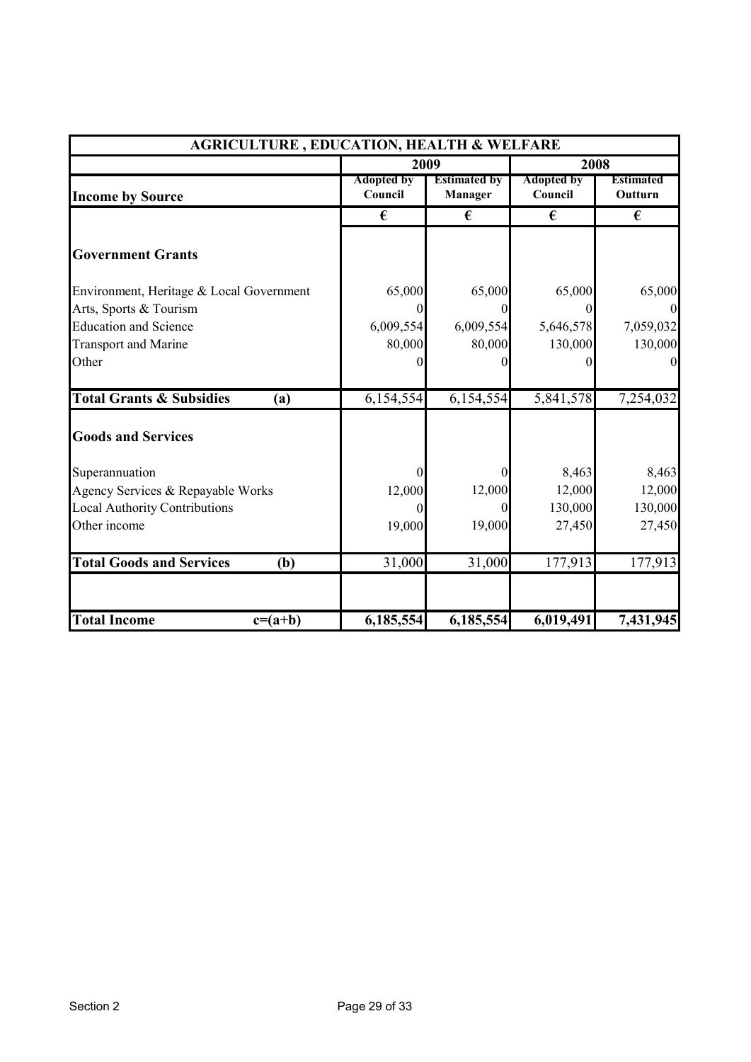| <b>AGRICULTURE, EDUCATION, HEALTH &amp; WELFARE</b> |                              |                                |                              |                             |
|-----------------------------------------------------|------------------------------|--------------------------------|------------------------------|-----------------------------|
|                                                     | 2009                         |                                |                              | 2008                        |
| <b>Income by Source</b>                             | <b>Adopted by</b><br>Council | <b>Estimated by</b><br>Manager | <b>Adopted by</b><br>Council | <b>Estimated</b><br>Outturn |
|                                                     | €                            | €                              | €                            | €                           |
| <b>Government Grants</b>                            |                              |                                |                              |                             |
| Environment, Heritage & Local Government            | 65,000                       | 65,000                         | 65,000                       | 65,000                      |
| Arts, Sports & Tourism                              |                              | $\Omega$                       | 0                            | $\overline{0}$              |
| <b>Education and Science</b>                        | 6,009,554                    | 6,009,554                      | 5,646,578                    | 7,059,032                   |
| <b>Transport and Marine</b>                         | 80,000                       | 80,000                         | 130,000                      | 130,000                     |
| Other                                               |                              | 0                              |                              | $\boldsymbol{0}$            |
| <b>Total Grants &amp; Subsidies</b><br>(a)          | 6,154,554                    | 6,154,554                      | 5,841,578                    | 7,254,032                   |
| <b>Goods and Services</b>                           |                              |                                |                              |                             |
| Superannuation                                      |                              | 0                              | 8,463                        | 8,463                       |
| Agency Services & Repayable Works                   | 12,000                       | 12,000                         | 12,000                       | 12,000                      |
| <b>Local Authority Contributions</b>                |                              | $\Omega$                       | 130,000                      | 130,000                     |
| Other income                                        | 19,000                       | 19,000                         | 27,450                       | 27,450                      |
| <b>Total Goods and Services</b><br>(b)              | 31,000                       | 31,000                         | 177,913                      | 177,913                     |
| <b>Total Income</b><br>$c=(a+b)$                    | 6,185,554                    | 6,185,554                      | 6,019,491                    | 7,431,945                   |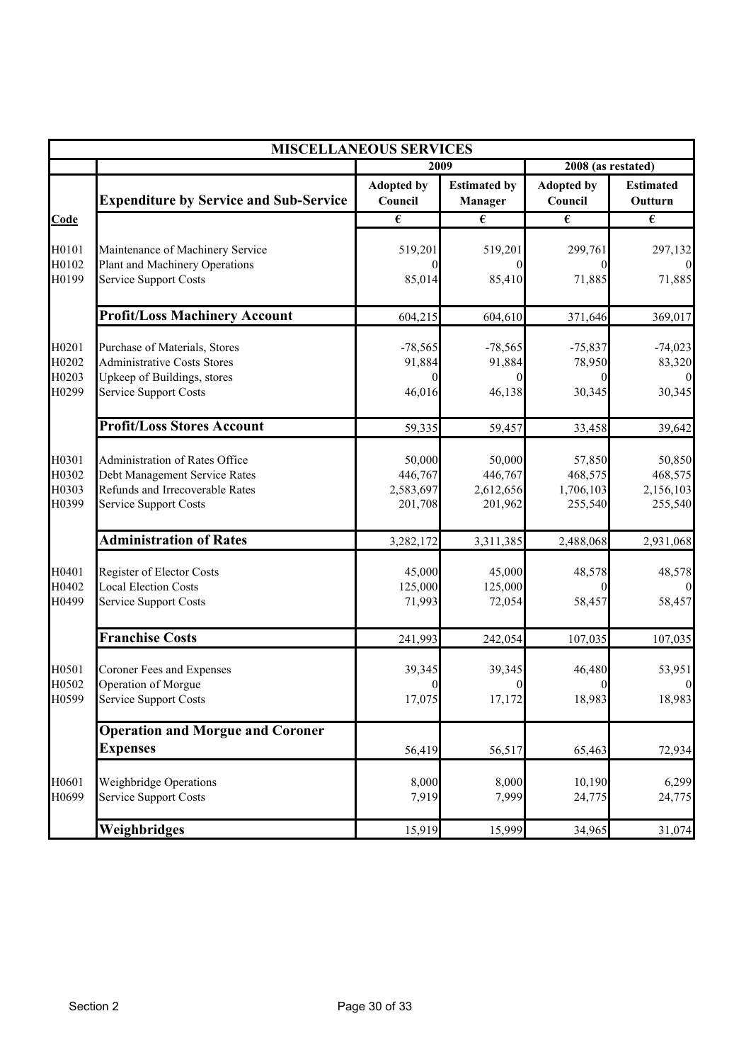|                |                                                             | <b>MISCELLANEOUS SERVICES</b> |                                       |                              |                             |
|----------------|-------------------------------------------------------------|-------------------------------|---------------------------------------|------------------------------|-----------------------------|
|                |                                                             |                               | 2009                                  | 2008 (as restated)           |                             |
|                | <b>Expenditure by Service and Sub-Service</b>               | <b>Adopted by</b><br>Council  | <b>Estimated by</b><br><b>Manager</b> | <b>Adopted by</b><br>Council | <b>Estimated</b><br>Outturn |
| Code           |                                                             | €                             | $\overline{\epsilon}$                 | €                            | $\overline{\epsilon}$       |
|                |                                                             |                               |                                       |                              |                             |
| H0101          | Maintenance of Machinery Service                            | 519,201                       | 519,201                               | 299,761                      | 297,132                     |
| H0102          | <b>Plant and Machinery Operations</b>                       | $\Omega$                      |                                       | $\Omega$                     |                             |
| H0199          | Service Support Costs                                       | 85,014                        | 85,410                                | 71,885                       | 71,885                      |
|                | <b>Profit/Loss Machinery Account</b>                        | 604,215                       | 604,610                               | 371,646                      | 369,017                     |
| H0201          | Purchase of Materials, Stores                               | $-78,565$                     | $-78,565$                             | $-75,837$                    | $-74,023$                   |
| H0202          | <b>Administrative Costs Stores</b>                          | 91,884                        | 91,884                                | 78,950                       | 83,320                      |
| H0203          | Upkeep of Buildings, stores                                 | $\Omega$                      | $\Omega$                              | $\theta$                     |                             |
| H0299          | Service Support Costs                                       | 46,016                        | 46,138                                | 30,345                       | 30,345                      |
|                | <b>Profit/Loss Stores Account</b>                           | 59,335                        | 59,457                                | 33,458                       | 39,642                      |
|                |                                                             |                               |                                       |                              |                             |
| H0301          | Administration of Rates Office                              | 50,000                        | 50,000                                | 57,850                       | 50,850                      |
| H0302          | Debt Management Service Rates                               | 446,767                       | 446,767                               | 468,575                      | 468,575                     |
| H0303          | Refunds and Irrecoverable Rates                             | 2,583,697                     | 2,612,656                             | 1,706,103                    | 2,156,103                   |
| H0399          | Service Support Costs                                       | 201,708                       | 201,962                               | 255,540                      | 255,540                     |
|                | <b>Administration of Rates</b>                              | 3,282,172                     | 3,311,385                             | 2,488,068                    | 2,931,068                   |
|                |                                                             |                               |                                       |                              |                             |
| H0401          | Register of Elector Costs                                   | 45,000                        | 45,000                                | 48,578                       | 48,578                      |
| H0402<br>H0499 | <b>Local Election Costs</b><br><b>Service Support Costs</b> | 125,000<br>71,993             | 125,000<br>72,054                     | $\Omega$<br>58,457           | 58,457                      |
|                |                                                             |                               |                                       |                              |                             |
|                | <b>Franchise Costs</b>                                      | 241,993                       | 242,054                               | 107,035                      | 107,035                     |
| H0501          | Coroner Fees and Expenses                                   | 39,345                        | 39,345                                | 46,480                       | 53,951                      |
| H0502          | Operation of Morgue                                         |                               |                                       |                              |                             |
| H0599          | <b>Service Support Costs</b>                                | 17,075                        | 17,172                                | 18,983                       | 18,983                      |
|                | <b>Operation and Morgue and Coroner</b>                     |                               |                                       |                              |                             |
|                | <b>Expenses</b>                                             | 56,419                        | 56,517                                | 65,463                       | 72,934                      |
| H0601          | Weighbridge Operations                                      | 8,000                         | 8,000                                 | 10,190                       | 6,299                       |
| H0699          | Service Support Costs                                       | 7,919                         | 7,999                                 | 24,775                       | 24,775                      |
|                | Weighbridges                                                | 15,919                        | 15,999                                | 34,965                       | 31,074                      |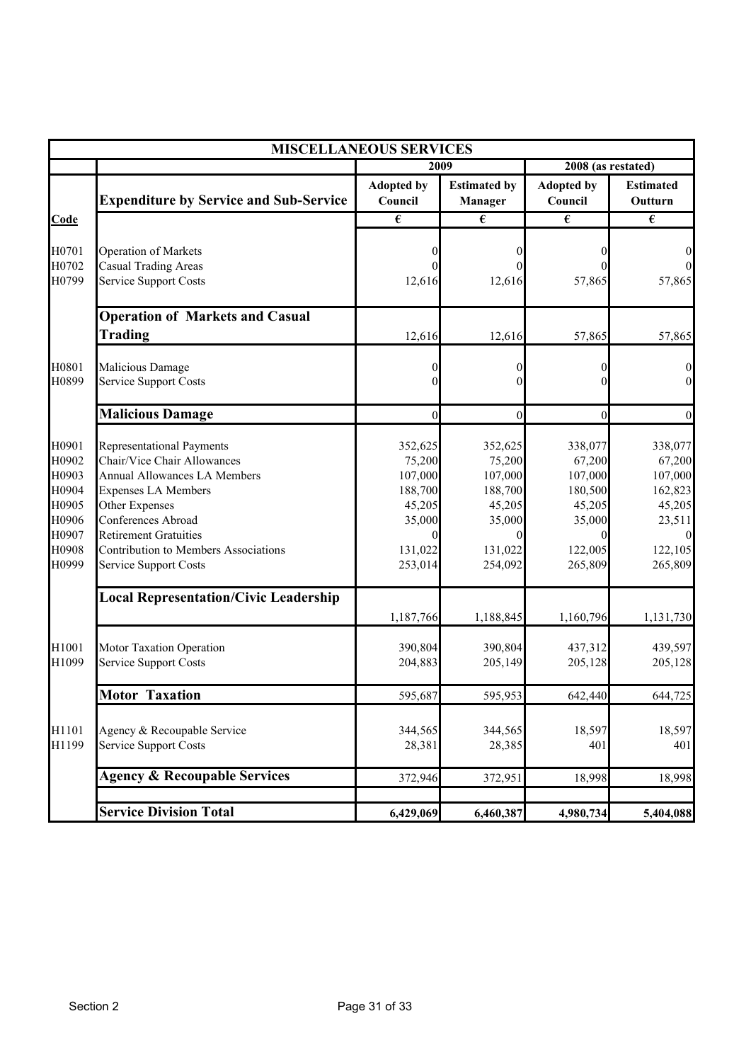|                                                                               | <b>MISCELLANEOUS SERVICES</b>                                                                                                                                                                                                                                                 |                                                                                   |                                                                                        |                                                                                        |                                                                                                       |
|-------------------------------------------------------------------------------|-------------------------------------------------------------------------------------------------------------------------------------------------------------------------------------------------------------------------------------------------------------------------------|-----------------------------------------------------------------------------------|----------------------------------------------------------------------------------------|----------------------------------------------------------------------------------------|-------------------------------------------------------------------------------------------------------|
|                                                                               |                                                                                                                                                                                                                                                                               | 2009                                                                              |                                                                                        | 2008 (as restated)                                                                     |                                                                                                       |
|                                                                               | <b>Expenditure by Service and Sub-Service</b>                                                                                                                                                                                                                                 | <b>Adopted by</b><br>Council                                                      | <b>Estimated by</b><br><b>Manager</b>                                                  | <b>Adopted by</b><br>Council                                                           | <b>Estimated</b><br>Outturn                                                                           |
| Code                                                                          |                                                                                                                                                                                                                                                                               | $\overline{\epsilon}$                                                             | $\overline{\epsilon}$                                                                  | $\overline{\epsilon}$                                                                  | $\overline{\epsilon}$                                                                                 |
| H0701<br>H0702<br>H0799                                                       | Operation of Markets<br><b>Casual Trading Areas</b><br>Service Support Costs                                                                                                                                                                                                  | 12,616                                                                            | 0<br>0<br>12,616                                                                       | 0<br>$\Omega$<br>57,865                                                                | $\boldsymbol{0}$<br>$\mathbf{0}$<br>57,865                                                            |
|                                                                               | <b>Operation of Markets and Casual</b><br><b>Trading</b>                                                                                                                                                                                                                      | 12,616                                                                            | 12,616                                                                                 | 57,865                                                                                 | 57,865                                                                                                |
| H0801<br>H0899                                                                | Malicious Damage<br><b>Service Support Costs</b>                                                                                                                                                                                                                              |                                                                                   | 0                                                                                      | $\theta$<br>$\Omega$                                                                   | $\boldsymbol{0}$<br>$\boldsymbol{0}$                                                                  |
|                                                                               | Malicious Damage                                                                                                                                                                                                                                                              | $\theta$                                                                          | $\boldsymbol{0}$                                                                       | $\mathbf{0}$                                                                           | $\boldsymbol{0}$                                                                                      |
| H0901<br>H0902<br>H0903<br>H0904<br>H0905<br>H0906<br>H0907<br>H0908<br>H0999 | <b>Representational Payments</b><br>Chair/Vice Chair Allowances<br><b>Annual Allowances LA Members</b><br><b>Expenses LA Members</b><br>Other Expenses<br>Conferences Abroad<br><b>Retirement Gratuities</b><br>Contribution to Members Associations<br>Service Support Costs | 352,625<br>75,200<br>107,000<br>188,700<br>45,205<br>35,000<br>131,022<br>253,014 | 352,625<br>75,200<br>107,000<br>188,700<br>45,205<br>35,000<br>0<br>131,022<br>254,092 | 338,077<br>67,200<br>107,000<br>180,500<br>45,205<br>35,000<br>0<br>122,005<br>265,809 | 338,077<br>67,200<br>107,000<br>162,823<br>45,205<br>23,511<br>$\boldsymbol{0}$<br>122,105<br>265,809 |
|                                                                               | <b>Local Representation/Civic Leadership</b>                                                                                                                                                                                                                                  | 1,187,766                                                                         | 1,188,845                                                                              | 1,160,796                                                                              | 1,131,730                                                                                             |
| H1001<br>H1099                                                                | Motor Taxation Operation<br>Service Support Costs                                                                                                                                                                                                                             | 390,804<br>204,883                                                                | 390,804<br>205,149                                                                     | 437,312<br>205,128                                                                     | 439,597<br>205,128                                                                                    |
|                                                                               | <b>Motor Taxation</b>                                                                                                                                                                                                                                                         | 595,687                                                                           | 595,953                                                                                | 642,440                                                                                | 644,725                                                                                               |
| H1101<br>H1199                                                                | Agency & Recoupable Service<br><b>Service Support Costs</b>                                                                                                                                                                                                                   | 344,565<br>28,381                                                                 | 344,565<br>28,385                                                                      | 18,597<br>401                                                                          | 18,597<br>401                                                                                         |
|                                                                               | <b>Agency &amp; Recoupable Services</b>                                                                                                                                                                                                                                       | 372,946                                                                           | 372,951                                                                                | 18,998                                                                                 | 18,998                                                                                                |
|                                                                               | <b>Service Division Total</b>                                                                                                                                                                                                                                                 | 6,429,069                                                                         | 6,460,387                                                                              | 4,980,734                                                                              | 5,404,088                                                                                             |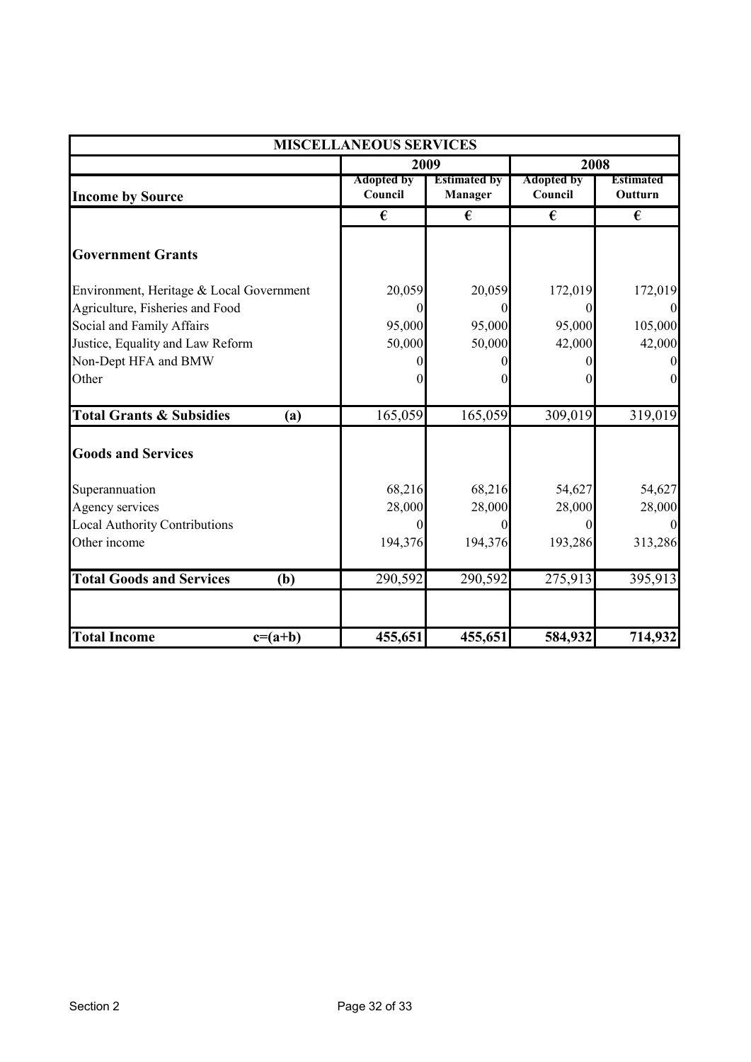| <b>MISCELLANEOUS SERVICES</b>              |                              |                                |                              |                             |  |
|--------------------------------------------|------------------------------|--------------------------------|------------------------------|-----------------------------|--|
|                                            |                              | 2009                           |                              | 2008                        |  |
| <b>Income by Source</b>                    | <b>Adopted by</b><br>Council | <b>Estimated by</b><br>Manager | <b>Adopted by</b><br>Council | <b>Estimated</b><br>Outturn |  |
|                                            | €                            | €                              | €                            | €                           |  |
| <b>Government Grants</b>                   |                              |                                |                              |                             |  |
| Environment, Heritage & Local Government   | 20,059                       | 20,059                         | 172,019                      | 172,019                     |  |
| Agriculture, Fisheries and Food            |                              | 0                              |                              | $\overline{0}$              |  |
| Social and Family Affairs                  | 95,000                       | 95,000                         | 95,000                       | 105,000                     |  |
| Justice, Equality and Law Reform           | 50,000                       | 50,000                         | 42,000                       | 42,000                      |  |
| Non-Dept HFA and BMW                       |                              |                                |                              |                             |  |
| Other                                      |                              |                                |                              | $\overline{0}$              |  |
| <b>Total Grants &amp; Subsidies</b><br>(a) | 165,059                      | 165,059                        | 309,019                      | 319,019                     |  |
| <b>Goods and Services</b>                  |                              |                                |                              |                             |  |
| Superannuation                             | 68,216                       | 68,216                         | 54,627                       | 54,627                      |  |
| Agency services                            | 28,000                       | 28,000                         | 28,000                       | 28,000                      |  |
| <b>Local Authority Contributions</b>       |                              |                                |                              |                             |  |
| Other income                               | 194,376                      | 194,376                        | 193,286                      | 313,286                     |  |
| <b>Total Goods and Services</b><br>(b)     | 290,592                      | 290,592                        | 275,913                      | 395,913                     |  |
| <b>Total Income</b><br>$c=(a+b)$           | 455,651                      | 455,651                        | 584,932                      | 714,932                     |  |